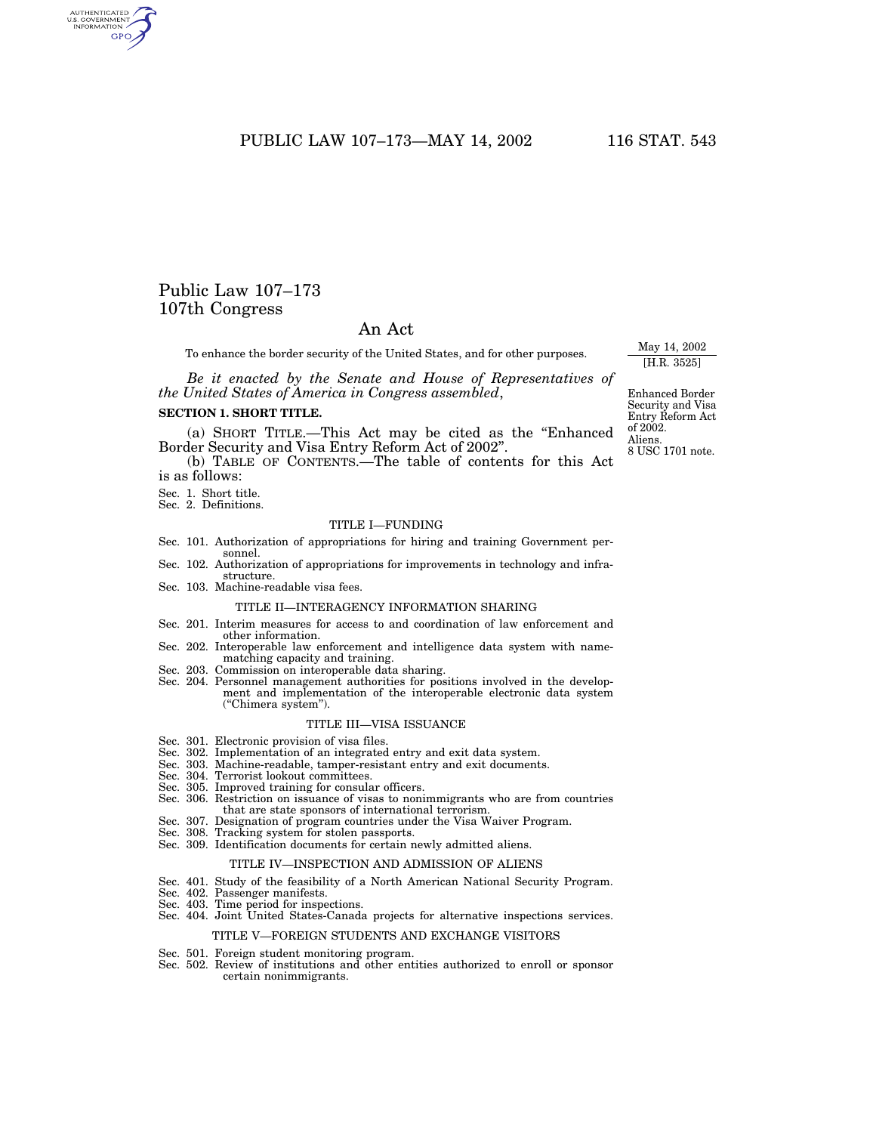## PUBLIC LAW 107-173-MAY 14, 2002 116 STAT. 543

## Public Law 107–173 107th Congress

AUTHENTICATED<br>U.S. GOVERNMENT<br>INFORMATION GPO

## An Act

To enhance the border security of the United States, and for other purposes.

*Be it enacted by the Senate and House of Representatives of the United States of America in Congress assembled*,

#### **SECTION 1. SHORT TITLE.**

(a) SHORT TITLE.—This Act may be cited as the ''Enhanced Border Security and Visa Entry Reform Act of 2002''.

(b) TABLE OF CONTENTS.—The table of contents for this Act is as follows:

Sec. 1. Short title. Sec. 2. Definitions.

#### TITLE I—FUNDING

- Sec. 101. Authorization of appropriations for hiring and training Government personnel.
- Sec. 102. Authorization of appropriations for improvements in technology and infrastructure.
- Sec. 103. Machine-readable visa fees.

#### TITLE II—INTERAGENCY INFORMATION SHARING

- Sec. 201. Interim measures for access to and coordination of law enforcement and other information.
- Sec. 202. Interoperable law enforcement and intelligence data system with namematching capacity and training.
- Sec. 203. Commission on interoperable data sharing.
- Sec. 204. Personnel management authorities for positions involved in the development and implementation of the interoperable electronic data system (''Chimera system'').

#### TITLE III—VISA ISSUANCE

- Sec. 301. Electronic provision of visa files.
- Sec. 302. Implementation of an integrated entry and exit data system.
- Sec. 303. Machine-readable, tamper-resistant entry and exit documents.
- Sec. 304. Terrorist lookout committees.
- Sec. 305. Improved training for consular officers.
- Sec. 306. Restriction on issuance of visas to nonimmigrants who are from countries that are state sponsors of international terrorism.
- Sec. 307. Designation of program countries under the Visa Waiver Program.
- Sec. 308. Tracking system for stolen passports.
- Sec. 309. Identification documents for certain newly admitted aliens.

#### TITLE IV—INSPECTION AND ADMISSION OF ALIENS

- Sec. 401. Study of the feasibility of a North American National Security Program.
- Sec. 402. Passenger manifests.
- Sec. 403. Time period for inspections.
- Sec. 404. Joint United States-Canada projects for alternative inspections services.

#### TITLE V—FOREIGN STUDENTS AND EXCHANGE VISITORS

- Sec. 501. Foreign student monitoring program.
- Sec. 502. Review of institutions and other entities authorized to enroll or sponsor certain nonimmigrants.

8 USC 1701 note. Enhanced Border Security and Visa Entry Reform Act of 2002. Aliens.

May 14, 2002 [H.R. 3525]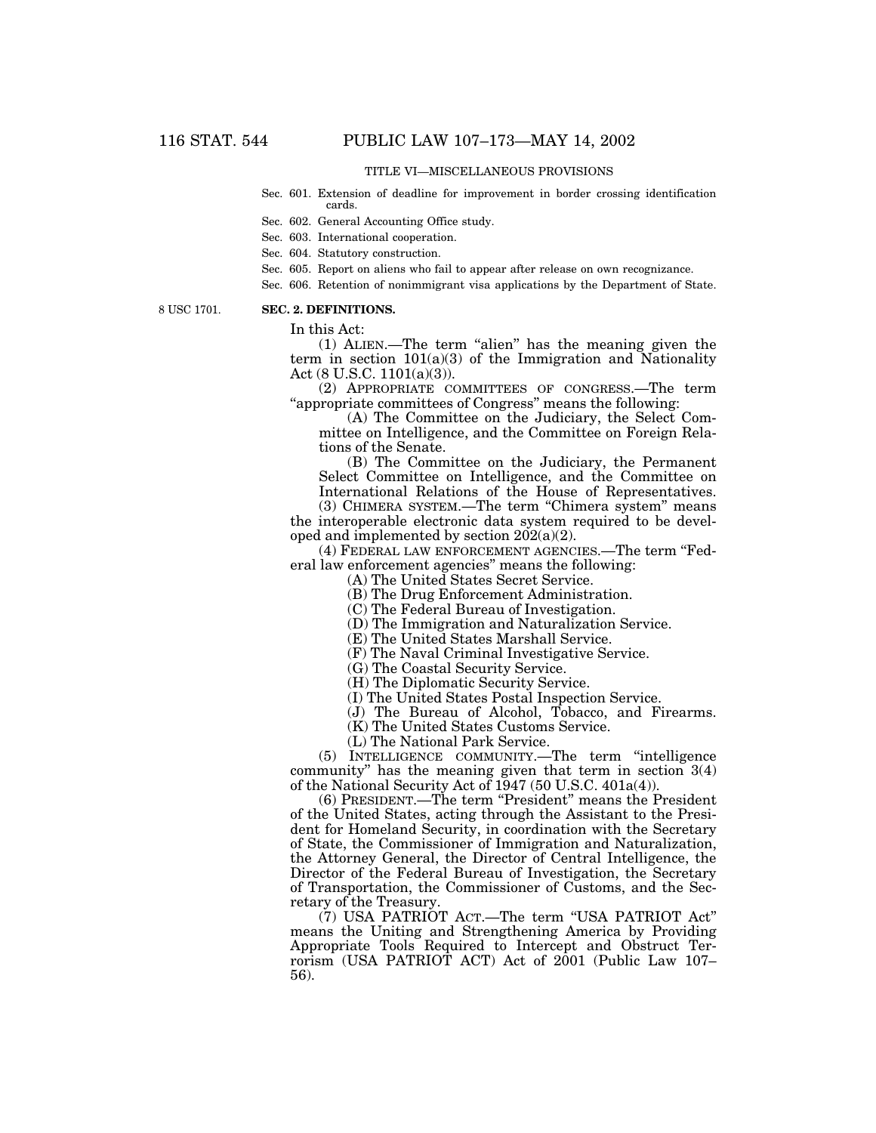### TITLE VI—MISCELLANEOUS PROVISIONS

- Sec. 601. Extension of deadline for improvement in border crossing identification cards.
- Sec. 602. General Accounting Office study.
- Sec. 603. International cooperation.
- Sec. 604. Statutory construction.
- Sec. 605. Report on aliens who fail to appear after release on own recognizance.
- Sec. 606. Retention of nonimmigrant visa applications by the Department of State.

8 USC 1701.

## **SEC. 2. DEFINITIONS.**

In this Act:

(1) ALIEN.—The term ''alien'' has the meaning given the term in section  $101(a)(3)$  of the Immigration and Nationality Act (8 U.S.C. 1101(a)(3)).

(2) APPROPRIATE COMMITTEES OF CONGRESS.—The term ''appropriate committees of Congress'' means the following:

(A) The Committee on the Judiciary, the Select Committee on Intelligence, and the Committee on Foreign Relations of the Senate.

(B) The Committee on the Judiciary, the Permanent Select Committee on Intelligence, and the Committee on International Relations of the House of Representatives.

(3) CHIMERA SYSTEM.—The term ''Chimera system'' means the interoperable electronic data system required to be developed and implemented by section 202(a)(2).

(4) FEDERAL LAW ENFORCEMENT AGENCIES.—The term ''Federal law enforcement agencies'' means the following:

(A) The United States Secret Service.

(B) The Drug Enforcement Administration.

(C) The Federal Bureau of Investigation.

(D) The Immigration and Naturalization Service.

(E) The United States Marshall Service.

(F) The Naval Criminal Investigative Service.

(G) The Coastal Security Service.

(H) The Diplomatic Security Service.

(I) The United States Postal Inspection Service.

(J) The Bureau of Alcohol, Tobacco, and Firearms.

(K) The United States Customs Service.

(L) The National Park Service.

(5) INTELLIGENCE COMMUNITY.—The term ''intelligence community'' has the meaning given that term in section 3(4) of the National Security Act of 1947 (50 U.S.C. 401a(4)).

(6) PRESIDENT.—The term ''President'' means the President of the United States, acting through the Assistant to the President for Homeland Security, in coordination with the Secretary of State, the Commissioner of Immigration and Naturalization, the Attorney General, the Director of Central Intelligence, the Director of the Federal Bureau of Investigation, the Secretary of Transportation, the Commissioner of Customs, and the Secretary of the Treasury.

(7) USA PATRIOT ACT.—The term ''USA PATRIOT Act'' means the Uniting and Strengthening America by Providing Appropriate Tools Required to Intercept and Obstruct Terrorism (USA PATRIOT ACT) Act of 2001 (Public Law 107– 56).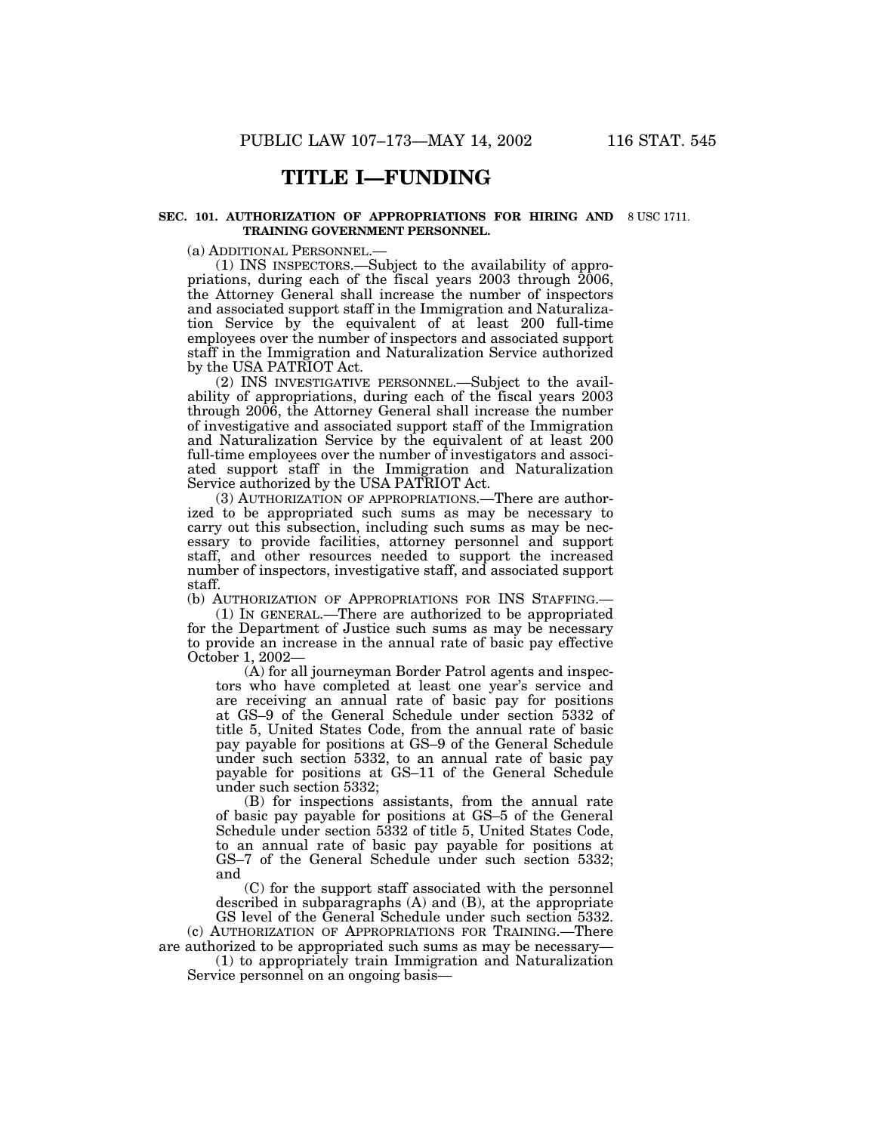## **TITLE I—FUNDING**

#### **SEC. 101. AUTHORIZATION OF APPROPRIATIONS FOR HIRING AND** 8 USC 1711. **TRAINING GOVERNMENT PERSONNEL.**

(a) ADDITIONAL PERSONNEL.—

(1) INS INSPECTORS.—Subject to the availability of appropriations, during each of the fiscal years 2003 through 2006, the Attorney General shall increase the number of inspectors and associated support staff in the Immigration and Naturalization Service by the equivalent of at least 200 full-time employees over the number of inspectors and associated support staff in the Immigration and Naturalization Service authorized by the USA PATRIOT Act.

(2) INS INVESTIGATIVE PERSONNEL.—Subject to the availability of appropriations, during each of the fiscal years 2003 through 2006, the Attorney General shall increase the number of investigative and associated support staff of the Immigration and Naturalization Service by the equivalent of at least 200 full-time employees over the number of investigators and associated support staff in the Immigration and Naturalization Service authorized by the USA PATRIOT Act.

(3) AUTHORIZATION OF APPROPRIATIONS.—There are authorized to be appropriated such sums as may be necessary to carry out this subsection, including such sums as may be necessary to provide facilities, attorney personnel and support staff, and other resources needed to support the increased number of inspectors, investigative staff, and associated support staff.

(b) AUTHORIZATION OF APPROPRIATIONS FOR INS STAFFING.—

(1) IN GENERAL.—There are authorized to be appropriated for the Department of Justice such sums as may be necessary to provide an increase in the annual rate of basic pay effective October 1, 2002—

(A) for all journeyman Border Patrol agents and inspectors who have completed at least one year's service and are receiving an annual rate of basic pay for positions at GS–9 of the General Schedule under section 5332 of title 5, United States Code, from the annual rate of basic pay payable for positions at GS–9 of the General Schedule under such section 5332, to an annual rate of basic pay payable for positions at GS–11 of the General Schedule under such section 5332;

(B) for inspections assistants, from the annual rate of basic pay payable for positions at GS–5 of the General Schedule under section 5332 of title 5, United States Code, to an annual rate of basic pay payable for positions at GS–7 of the General Schedule under such section 5332; and

(C) for the support staff associated with the personnel described in subparagraphs (A) and (B), at the appropriate GS level of the General Schedule under such section 5332.

(c) AUTHORIZATION OF APPROPRIATIONS FOR TRAINING.—There are authorized to be appropriated such sums as may be necessary—

(1) to appropriately train Immigration and Naturalization Service personnel on an ongoing basis—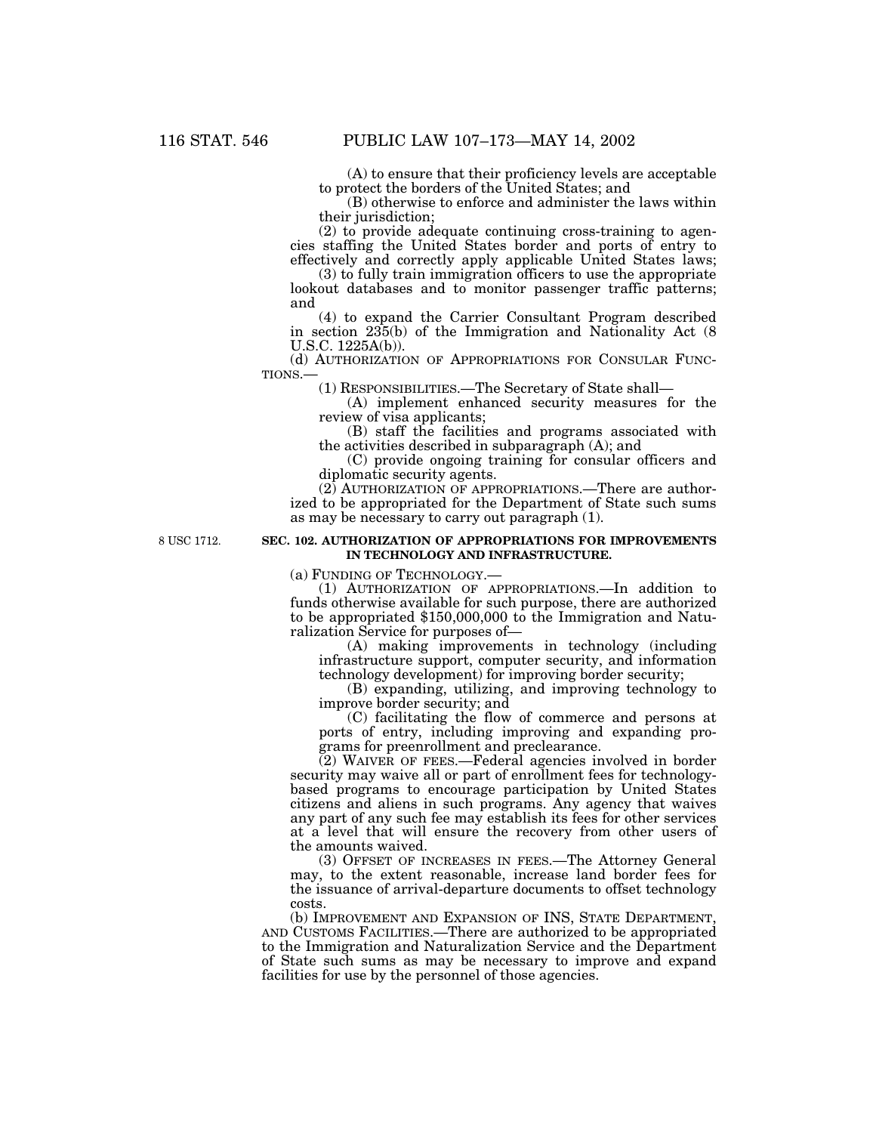(A) to ensure that their proficiency levels are acceptable to protect the borders of the United States; and

(B) otherwise to enforce and administer the laws within their jurisdiction;

(2) to provide adequate continuing cross-training to agencies staffing the United States border and ports of entry to effectively and correctly apply applicable United States laws;

(3) to fully train immigration officers to use the appropriate lookout databases and to monitor passenger traffic patterns; and

(4) to expand the Carrier Consultant Program described in section 235(b) of the Immigration and Nationality Act (8 U.S.C. 1225A(b)).

(d) AUTHORIZATION OF APPROPRIATIONS FOR CONSULAR FUNC-<br>TIONS.—(1) RESPONSIBILITIES.—The Secretary of State shall—<br>(A) implement enhanced security measures for the

review of visa applicants;

(B) staff the facilities and programs associated with the activities described in subparagraph (A); and

(C) provide ongoing training for consular officers and diplomatic security agents.

(2) AUTHORIZATION OF APPROPRIATIONS.—There are authorized to be appropriated for the Department of State such sums as may be necessary to carry out paragraph (1).

8 USC 1712.

## **SEC. 102. AUTHORIZATION OF APPROPRIATIONS FOR IMPROVEMENTS IN TECHNOLOGY AND INFRASTRUCTURE.**

(a) FUNDING OF TECHNOLOGY.—

(1) AUTHORIZATION OF APPROPRIATIONS.—In addition to funds otherwise available for such purpose, there are authorized to be appropriated \$150,000,000 to the Immigration and Naturalization Service for purposes of—

(A) making improvements in technology (including infrastructure support, computer security, and information technology development) for improving border security;

(B) expanding, utilizing, and improving technology to improve border security; and

(C) facilitating the flow of commerce and persons at ports of entry, including improving and expanding programs for preenrollment and preclearance.

(2) WAIVER OF FEES.—Federal agencies involved in border security may waive all or part of enrollment fees for technologybased programs to encourage participation by United States citizens and aliens in such programs. Any agency that waives any part of any such fee may establish its fees for other services at a level that will ensure the recovery from other users of the amounts waived.

(3) OFFSET OF INCREASES IN FEES.—The Attorney General may, to the extent reasonable, increase land border fees for the issuance of arrival-departure documents to offset technology costs.

(b) IMPROVEMENT AND EXPANSION OF INS, STATE DEPARTMENT, AND CUSTOMS FACILITIES.—There are authorized to be appropriated to the Immigration and Naturalization Service and the Department of State such sums as may be necessary to improve and expand facilities for use by the personnel of those agencies.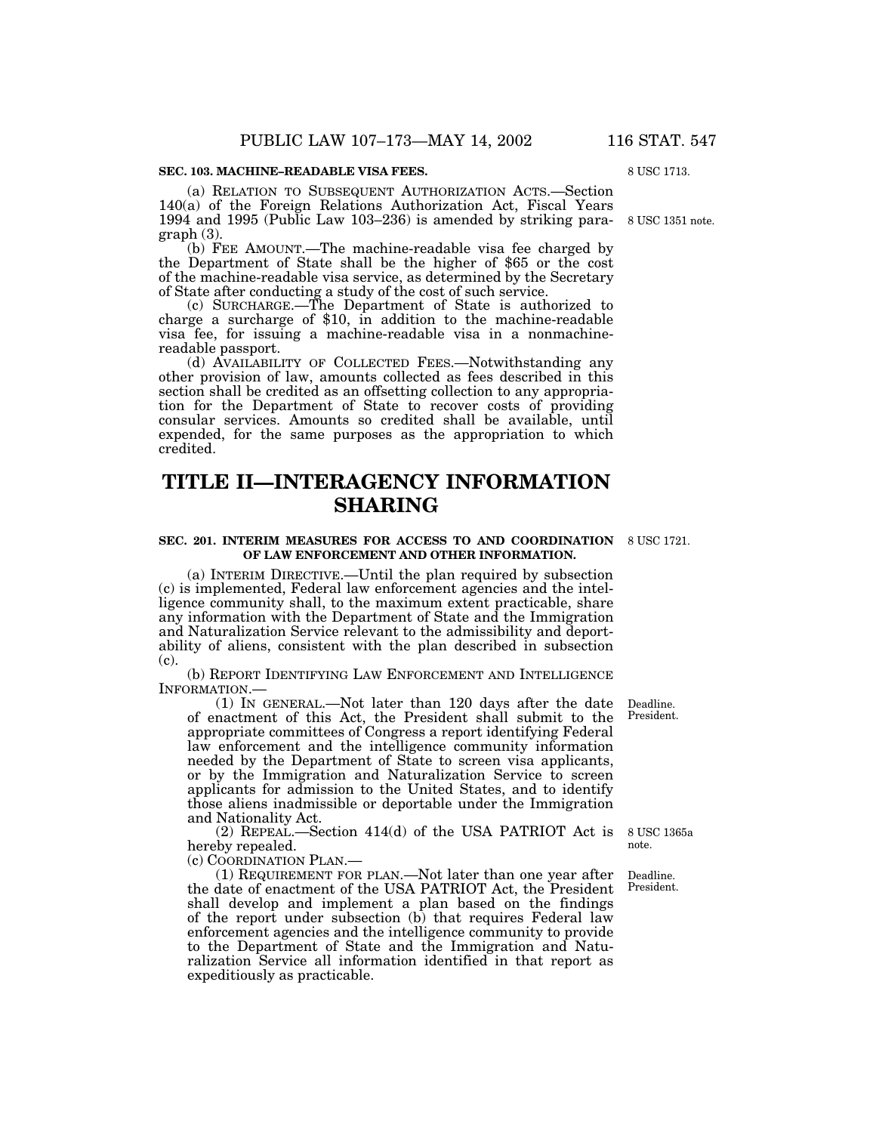## **SEC. 103. MACHINE–READABLE VISA FEES.**

(a) RELATION TO SUBSEQUENT AUTHORIZATION ACTS.—Section 140(a) of the Foreign Relations Authorization Act, Fiscal Years 1994 and 1995 (Public Law 103–236) is amended by striking paragraph (3). 8 USC 1351 note.

(b) FEE AMOUNT.—The machine-readable visa fee charged by the Department of State shall be the higher of \$65 or the cost of the machine-readable visa service, as determined by the Secretary of State after conducting a study of the cost of such service.

(c) SURCHARGE.—The Department of State is authorized to charge a surcharge of \$10, in addition to the machine-readable visa fee, for issuing a machine-readable visa in a nonmachinereadable passport.

(d) AVAILABILITY OF COLLECTED FEES.—Notwithstanding any other provision of law, amounts collected as fees described in this section shall be credited as an offsetting collection to any appropriation for the Department of State to recover costs of providing consular services. Amounts so credited shall be available, until expended, for the same purposes as the appropriation to which credited.

# **TITLE II—INTERAGENCY INFORMATION SHARING**

#### **SEC. 201. INTERIM MEASURES FOR ACCESS TO AND COORDINATION** 8 USC 1721. **OF LAW ENFORCEMENT AND OTHER INFORMATION.**

(a) INTERIM DIRECTIVE.—Until the plan required by subsection (c) is implemented, Federal law enforcement agencies and the intelligence community shall, to the maximum extent practicable, share any information with the Department of State and the Immigration and Naturalization Service relevant to the admissibility and deportability of aliens, consistent with the plan described in subsection (c).

(b) REPORT IDENTIFYING LAW ENFORCEMENT AND INTELLIGENCE INFORMATION.—

(1) IN GENERAL.—Not later than 120 days after the date of enactment of this Act, the President shall submit to the appropriate committees of Congress a report identifying Federal law enforcement and the intelligence community information needed by the Department of State to screen visa applicants, or by the Immigration and Naturalization Service to screen applicants for admission to the United States, and to identify those aliens inadmissible or deportable under the Immigration and Nationality Act.

(2) REPEAL.—Section 414(d) of the USA PATRIOT Act is 8 USC 1365a hereby repealed.

(c) COORDINATION PLAN.—

(1) REQUIREMENT FOR PLAN.—Not later than one year after the date of enactment of the USA PATRIOT Act, the President shall develop and implement a plan based on the findings of the report under subsection (b) that requires Federal law enforcement agencies and the intelligence community to provide to the Department of State and the Immigration and Naturalization Service all information identified in that report as expeditiously as practicable.

Deadline. President.

note.

Deadline. President.

8 USC 1713.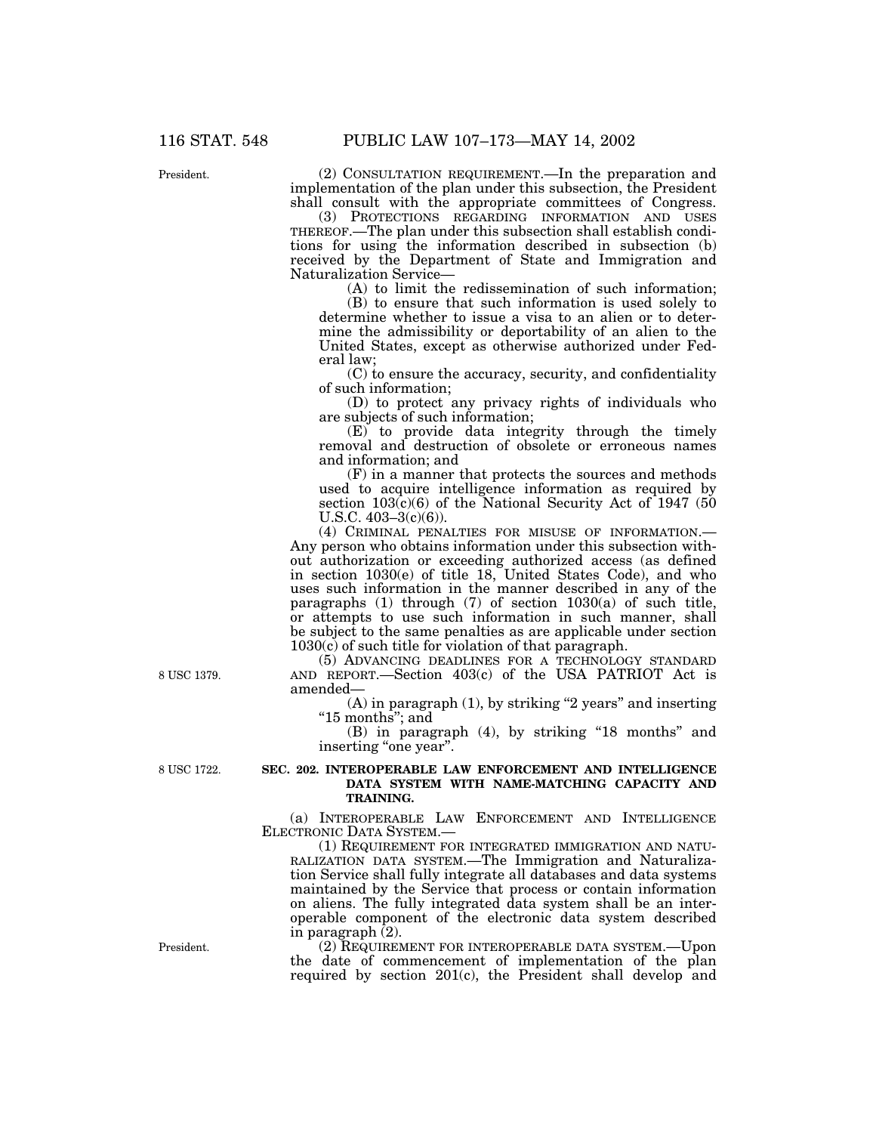President.

(2) CONSULTATION REQUIREMENT.—In the preparation and implementation of the plan under this subsection, the President shall consult with the appropriate committees of Congress.

(3) PROTECTIONS REGARDING INFORMATION AND USES THEREOF.—The plan under this subsection shall establish conditions for using the information described in subsection (b) received by the Department of State and Immigration and

 $(A)$  to limit the redissemination of such information;

(B) to ensure that such information is used solely to determine whether to issue a visa to an alien or to determine the admissibility or deportability of an alien to the United States, except as otherwise authorized under Federal law;

(C) to ensure the accuracy, security, and confidentiality of such information;

(D) to protect any privacy rights of individuals who are subjects of such information;

(E) to provide data integrity through the timely removal and destruction of obsolete or erroneous names and information; and

(F) in a manner that protects the sources and methods used to acquire intelligence information as required by section  $103(c)(6)$  of the National Security Act of 1947 (50 U.S.C. 403–3(c)(6)).

(4) CRIMINAL PENALTIES FOR MISUSE OF INFORMATION.— Any person who obtains information under this subsection without authorization or exceeding authorized access (as defined in section 1030(e) of title 18, United States Code), and who uses such information in the manner described in any of the paragraphs (1) through (7) of section 1030(a) of such title, or attempts to use such information in such manner, shall be subject to the same penalties as are applicable under section 1030(c) of such title for violation of that paragraph.

(5) ADVANCING DEADLINES FOR A TECHNOLOGY STANDARD AND REPORT.—Section 403(c) of the USA PATRIOT Act is amended—

(A) in paragraph (1), by striking "2 years" and inserting "15 months"; and

(B) in paragraph (4), by striking ''18 months'' and inserting "one year".

8 USC 1722.

8 USC 1379.

President.

## **SEC. 202. INTEROPERABLE LAW ENFORCEMENT AND INTELLIGENCE DATA SYSTEM WITH NAME-MATCHING CAPACITY AND TRAINING.**

(a) INTEROPERABLE LAW ENFORCEMENT AND INTELLIGENCE ELECTRONIC DATA SYSTEM.—

(1) REQUIREMENT FOR INTEGRATED IMMIGRATION AND NATU-RALIZATION DATA SYSTEM.—The Immigration and Naturalization Service shall fully integrate all databases and data systems maintained by the Service that process or contain information on aliens. The fully integrated data system shall be an interoperable component of the electronic data system described in paragraph (2).

(2) REQUIREMENT FOR INTEROPERABLE DATA SYSTEM.—Upon the date of commencement of implementation of the plan required by section 201(c), the President shall develop and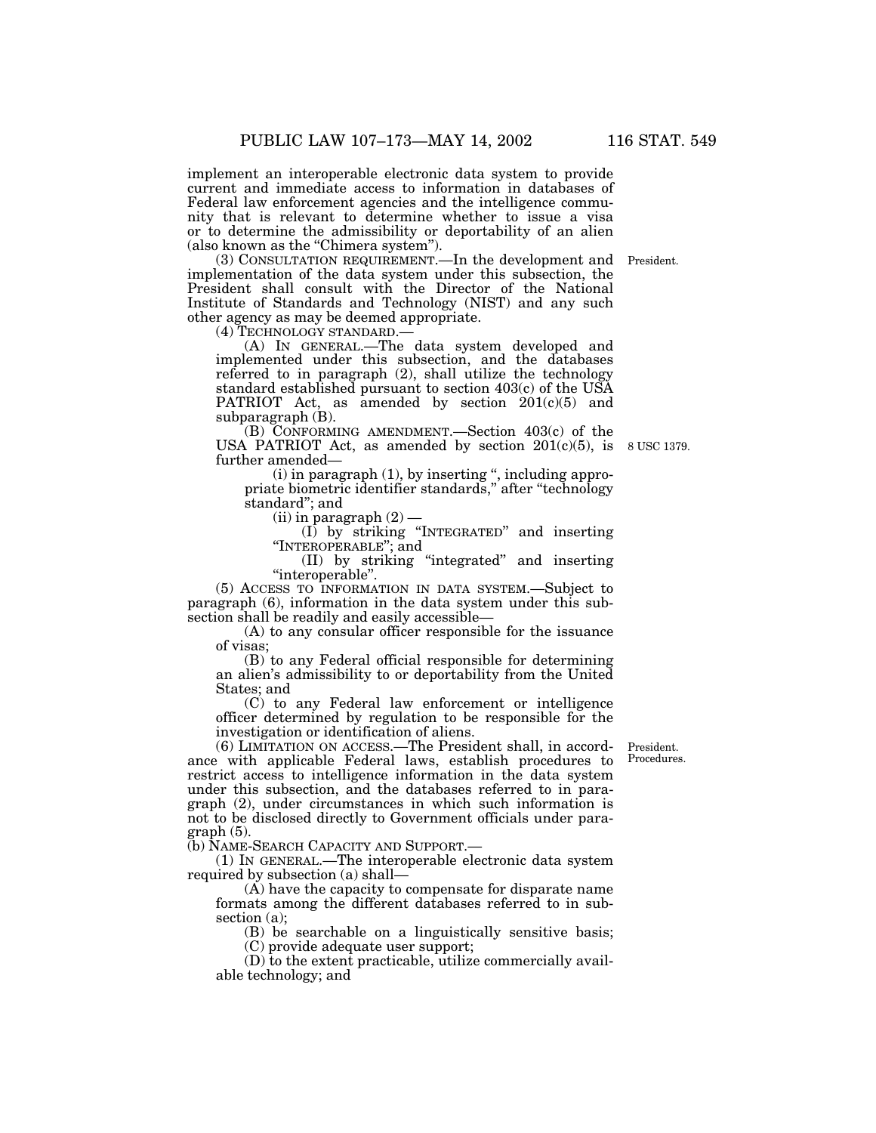implement an interoperable electronic data system to provide current and immediate access to information in databases of Federal law enforcement agencies and the intelligence community that is relevant to determine whether to issue a visa or to determine the admissibility or deportability of an alien (also known as the "Chimera system").

(3) CONSULTATION REQUIREMENT.—In the development and President. implementation of the data system under this subsection, the President shall consult with the Director of the National Institute of Standards and Technology (NIST) and any such other agency as may be deemed appropriate.

(4) TECHNOLOGY STANDARD.— (A) IN GENERAL.—The data system developed and implemented under this subsection, and the databases referred to in paragraph (2), shall utilize the technology standard established pursuant to section 403(c) of the USA PATRIOT Act, as amended by section  $201(c)(5)$  and subparagraph (B).

(B) CONFORMING AMENDMENT.—Section 403(c) of the USA PATRIOT Act, as amended by section  $201(c)(5)$ , is further amended—

(i) in paragraph (1), by inserting '', including appropriate biometric identifier standards,'' after ''technology standard''; and

 $(iii)$  in paragraph  $(2)$  —

(I) by striking ''INTEGRATED'' and inserting ''INTEROPERABLE''; and

(II) by striking ''integrated'' and inserting ''interoperable''.

(5) ACCESS TO INFORMATION IN DATA SYSTEM.—Subject to paragraph (6), information in the data system under this subsection shall be readily and easily accessible—

(A) to any consular officer responsible for the issuance of visas;

(B) to any Federal official responsible for determining an alien's admissibility to or deportability from the United States; and

(C) to any Federal law enforcement or intelligence officer determined by regulation to be responsible for the investigation or identification of aliens.

(6) LIMITATION ON ACCESS.—The President shall, in accordance with applicable Federal laws, establish procedures to restrict access to intelligence information in the data system under this subsection, and the databases referred to in paragraph (2), under circumstances in which such information is not to be disclosed directly to Government officials under paragraph (5).

(b) NAME-SEARCH CAPACITY AND SUPPORT.—

(1) IN GENERAL.—The interoperable electronic data system required by subsection (a) shall—

(A) have the capacity to compensate for disparate name formats among the different databases referred to in subsection (a);

(B) be searchable on a linguistically sensitive basis; (C) provide adequate user support;

(D) to the extent practicable, utilize commercially avail-

able technology; and

President. Procedures.

8 USC 1379.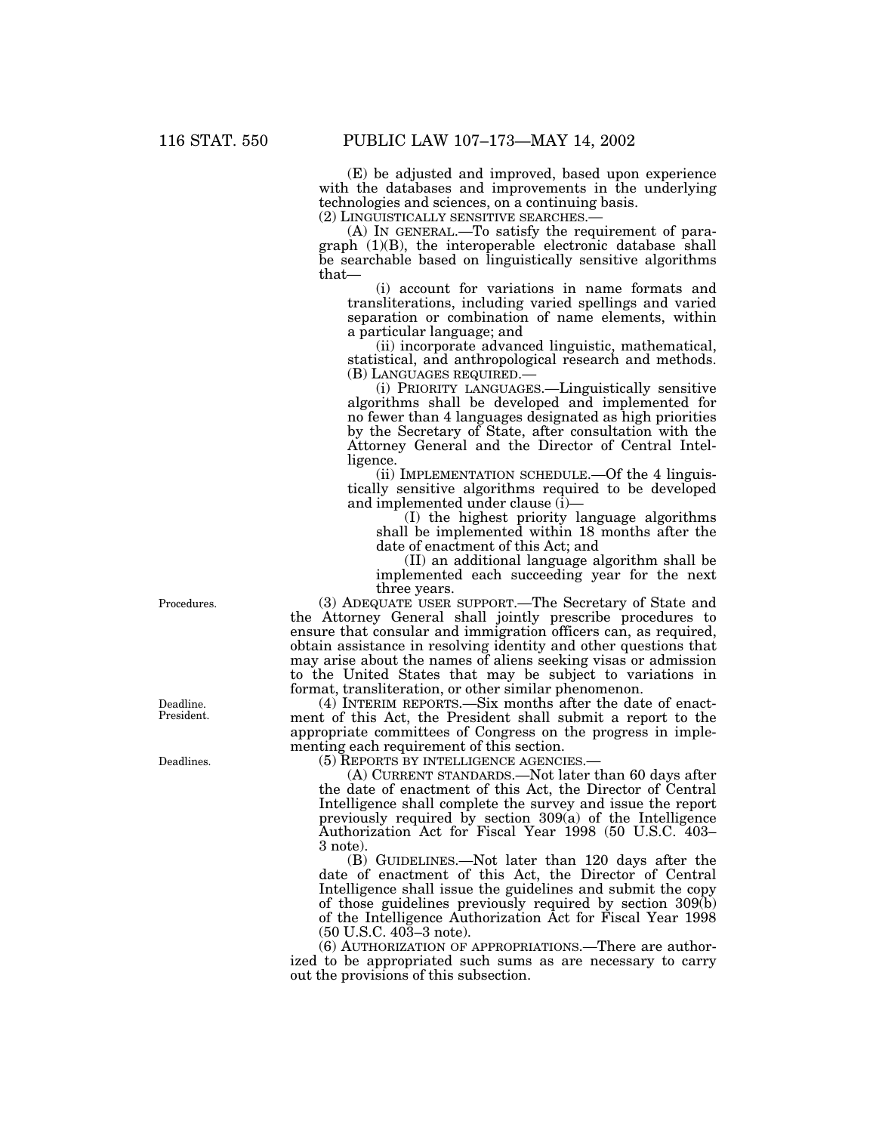(E) be adjusted and improved, based upon experience with the databases and improvements in the underlying technologies and sciences, on a continuing basis.

(2) LINGUISTICALLY SENSITIVE SEARCHES.— (A) IN GENERAL.—To satisfy the requirement of paragraph  $(1)(B)$ , the interoperable electronic database shall be searchable based on linguistically sensitive algorithms

(i) account for variations in name formats and transliterations, including varied spellings and varied separation or combination of name elements, within a particular language; and

(ii) incorporate advanced linguistic, mathematical, statistical, and anthropological research and methods. (B) LANGUAGES REQUIRED.— (i) PRIORITY LANGUAGES.—Linguistically sensitive

algorithms shall be developed and implemented for no fewer than 4 languages designated as high priorities by the Secretary of State, after consultation with the Attorney General and the Director of Central Intelligence.

(ii) IMPLEMENTATION SCHEDULE.—Of the 4 linguistically sensitive algorithms required to be developed and implemented under clause (i)—

(I) the highest priority language algorithms shall be implemented within 18 months after the date of enactment of this Act; and

(II) an additional language algorithm shall be implemented each succeeding year for the next three years.

(3) ADEQUATE USER SUPPORT.—The Secretary of State and the Attorney General shall jointly prescribe procedures to ensure that consular and immigration officers can, as required, obtain assistance in resolving identity and other questions that may arise about the names of aliens seeking visas or admission to the United States that may be subject to variations in format, transliteration, or other similar phenomenon.

(4) INTERIM REPORTS.—Six months after the date of enactment of this Act, the President shall submit a report to the appropriate committees of Congress on the progress in implementing each requirement of this section.

(5) REPORTS BY INTELLIGENCE AGENCIES.—

(A) CURRENT STANDARDS.—Not later than 60 days after the date of enactment of this Act, the Director of Central Intelligence shall complete the survey and issue the report previously required by section 309(a) of the Intelligence Authorization Act for Fiscal Year 1998 (50 U.S.C. 403– 3 note).

(B) GUIDELINES.—Not later than 120 days after the date of enactment of this Act, the Director of Central Intelligence shall issue the guidelines and submit the copy of those guidelines previously required by section 309(b) of the Intelligence Authorization Act for Fiscal Year 1998 (50 U.S.C. 403–3 note).

(6) AUTHORIZATION OF APPROPRIATIONS.—There are authorized to be appropriated such sums as are necessary to carry out the provisions of this subsection.

Procedures.

Deadline. President.

Deadlines.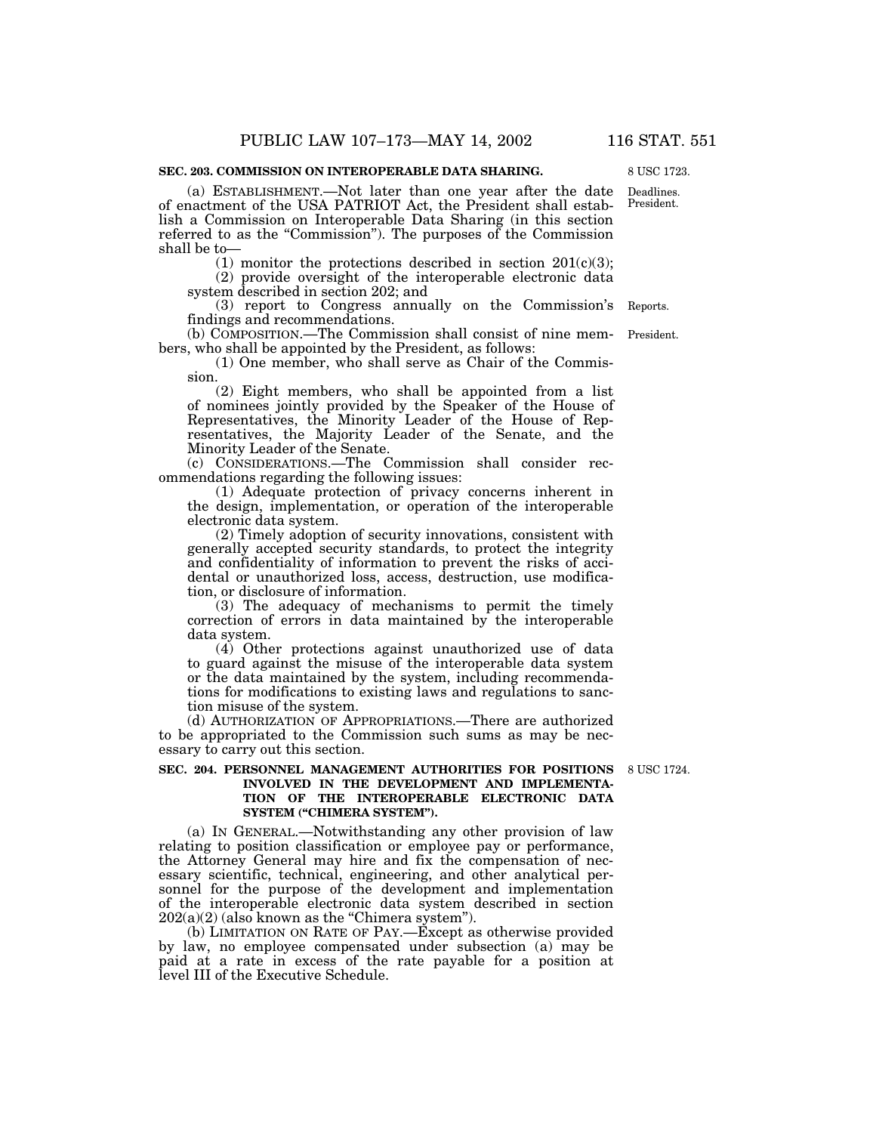## **SEC. 203. COMMISSION ON INTEROPERABLE DATA SHARING.**

(a) ESTABLISHMENT.—Not later than one year after the date of enactment of the USA PATRIOT Act, the President shall establish a Commission on Interoperable Data Sharing (in this section referred to as the "Commission"). The purposes of the Commission shall be to—

(1) monitor the protections described in section  $201(c)(3)$ ;

(2) provide oversight of the interoperable electronic data system described in section 202; and

(3) report to Congress annually on the Commission's Reports. findings and recommendations.

(b) COMPOSITION.—The Commission shall consist of nine mem-President. bers, who shall be appointed by the President, as follows:

(1) One member, who shall serve as Chair of the Commission.

(2) Eight members, who shall be appointed from a list of nominees jointly provided by the Speaker of the House of Representatives, the Minority Leader of the House of Representatives, the Majority Leader of the Senate, and the Minority Leader of the Senate.

(c) CONSIDERATIONS.—The Commission shall consider recommendations regarding the following issues:

(1) Adequate protection of privacy concerns inherent in the design, implementation, or operation of the interoperable electronic data system.

(2) Timely adoption of security innovations, consistent with generally accepted security standards, to protect the integrity and confidentiality of information to prevent the risks of accidental or unauthorized loss, access, destruction, use modification, or disclosure of information.

(3) The adequacy of mechanisms to permit the timely correction of errors in data maintained by the interoperable data system.

(4) Other protections against unauthorized use of data to guard against the misuse of the interoperable data system or the data maintained by the system, including recommendations for modifications to existing laws and regulations to sanction misuse of the system.

(d) AUTHORIZATION OF APPROPRIATIONS.—There are authorized to be appropriated to the Commission such sums as may be necessary to carry out this section.

### **SEC. 204. PERSONNEL MANAGEMENT AUTHORITIES FOR POSITIONS** 8 USC 1724. **INVOLVED IN THE DEVELOPMENT AND IMPLEMENTA-TION OF THE INTEROPERABLE ELECTRONIC DATA SYSTEM (''CHIMERA SYSTEM'').**

(a) IN GENERAL.—Notwithstanding any other provision of law relating to position classification or employee pay or performance, the Attorney General may hire and fix the compensation of necessary scientific, technical, engineering, and other analytical personnel for the purpose of the development and implementation of the interoperable electronic data system described in section  $202(a)(2)$  (also known as the "Chimera system").

(b) LIMITATION ON RATE OF PAY.—Except as otherwise provided by law, no employee compensated under subsection (a) may be paid at a rate in excess of the rate payable for a position at level III of the Executive Schedule.

Deadlines. President. 8 USC 1723.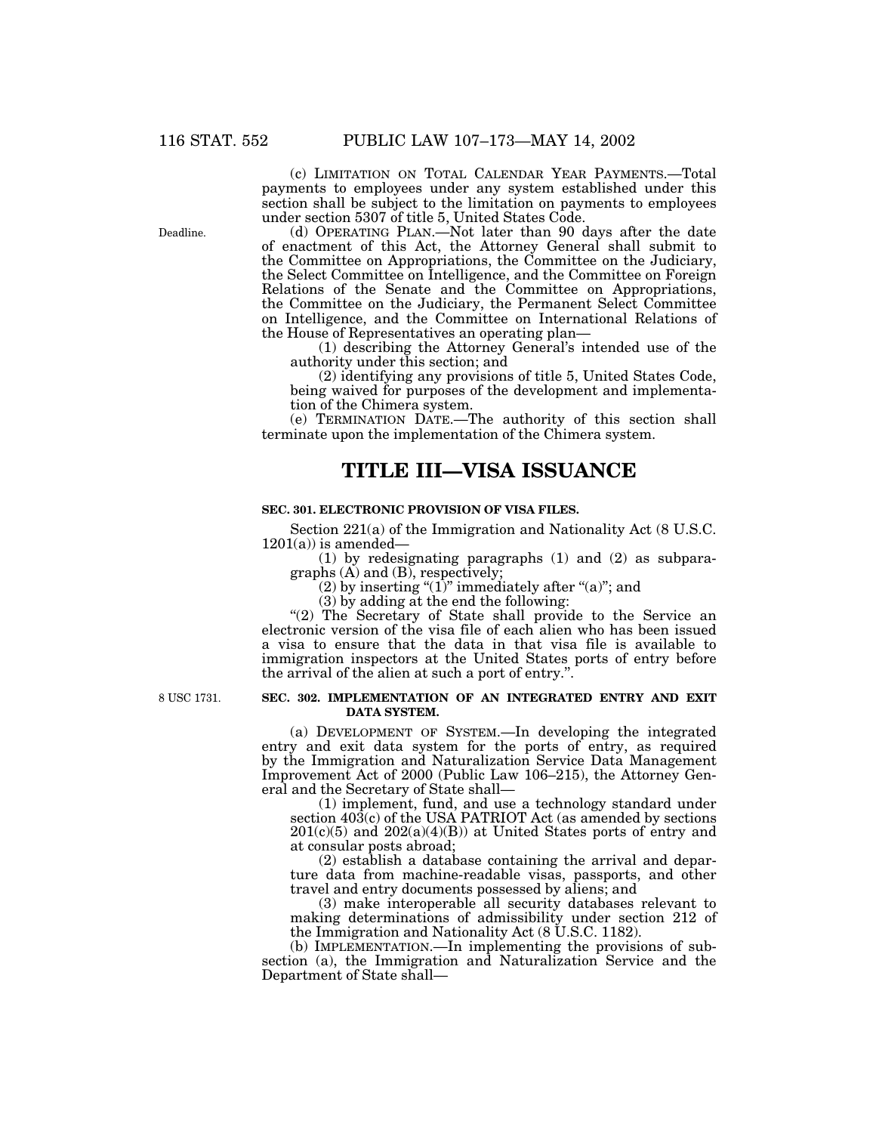(c) LIMITATION ON TOTAL CALENDAR YEAR PAYMENTS.—Total payments to employees under any system established under this section shall be subject to the limitation on payments to employees under section 5307 of title 5, United States Code.

(d) OPERATING PLAN.—Not later than 90 days after the date of enactment of this Act, the Attorney General shall submit to the Committee on Appropriations, the Committee on the Judiciary, the Select Committee on Intelligence, and the Committee on Foreign Relations of the Senate and the Committee on Appropriations, the Committee on the Judiciary, the Permanent Select Committee on Intelligence, and the Committee on International Relations of the House of Representatives an operating plan—

(1) describing the Attorney General's intended use of the authority under this section; and

(2) identifying any provisions of title 5, United States Code, being waived for purposes of the development and implementation of the Chimera system.

(e) TERMINATION DATE.—The authority of this section shall terminate upon the implementation of the Chimera system.

# **TITLE III—VISA ISSUANCE**

## **SEC. 301. ELECTRONIC PROVISION OF VISA FILES.**

Section 221(a) of the Immigration and Nationality Act (8 U.S.C.  $1201(a)$ ) is amended-

(1) by redesignating paragraphs (1) and (2) as subparagraphs  $(A)$  and  $(B)$ , respectively;

(2) by inserting " $(1)$ " immediately after " $(a)$ "; and

(3) by adding at the end the following:

''(2) The Secretary of State shall provide to the Service an electronic version of the visa file of each alien who has been issued a visa to ensure that the data in that visa file is available to immigration inspectors at the United States ports of entry before the arrival of the alien at such a port of entry.''.

8 USC 1731.

### **SEC. 302. IMPLEMENTATION OF AN INTEGRATED ENTRY AND EXIT DATA SYSTEM.**

(a) DEVELOPMENT OF SYSTEM.—In developing the integrated entry and exit data system for the ports of entry, as required by the Immigration and Naturalization Service Data Management Improvement Act of 2000 (Public Law 106–215), the Attorney General and the Secretary of State shall—

(1) implement, fund, and use a technology standard under section 403(c) of the USA PATRIOT Act (as amended by sections  $201(c)(5)$  and  $202(a)(4)(B)$  at United States ports of entry and at consular posts abroad;

(2) establish a database containing the arrival and departure data from machine-readable visas, passports, and other travel and entry documents possessed by aliens; and

(3) make interoperable all security databases relevant to making determinations of admissibility under section 212 of the Immigration and Nationality Act (8 U.S.C. 1182).

(b) IMPLEMENTATION.—In implementing the provisions of subsection (a), the Immigration and Naturalization Service and the Department of State shall—

Deadline.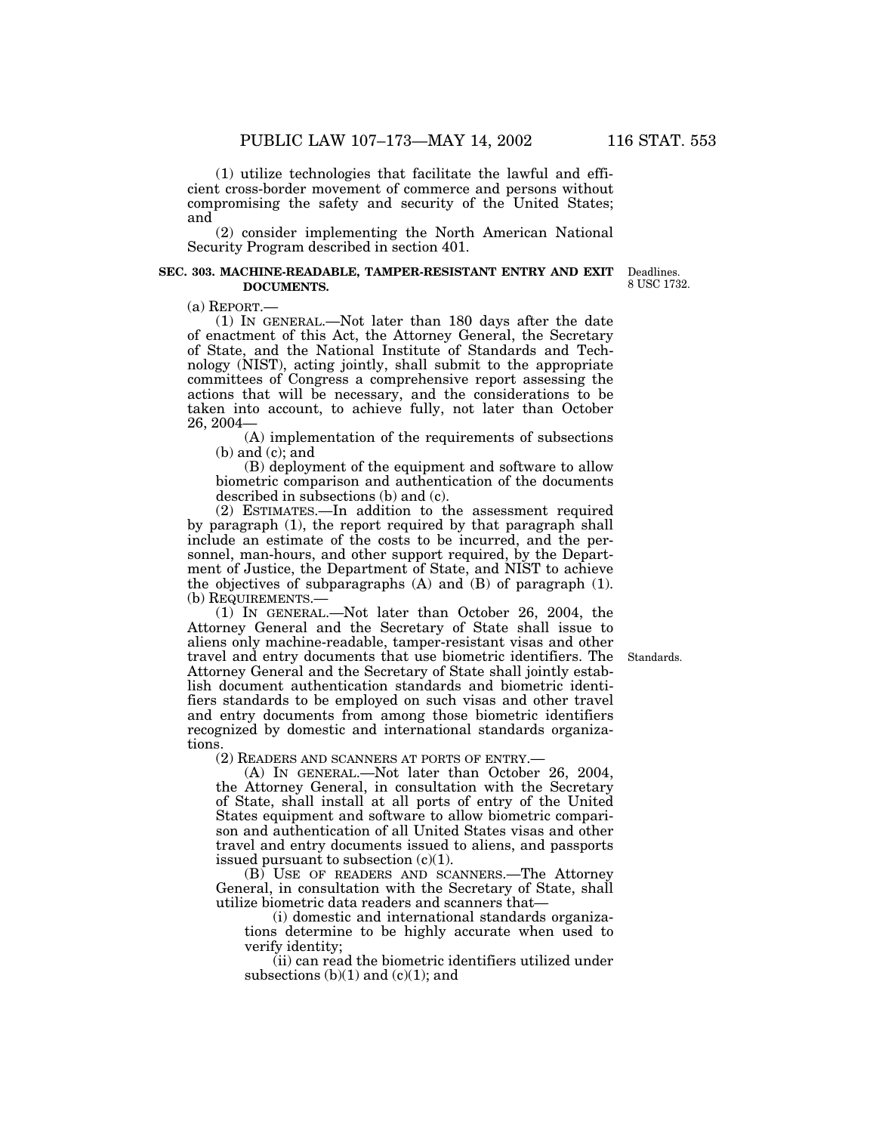(1) utilize technologies that facilitate the lawful and efficient cross-border movement of commerce and persons without compromising the safety and security of the United States; and

(2) consider implementing the North American National Security Program described in section 401.

#### **SEC. 303. MACHINE-READABLE, TAMPER-RESISTANT ENTRY AND EXIT DOCUMENTS.**

(a) REPORT.—

(1) IN GENERAL.—Not later than 180 days after the date of enactment of this Act, the Attorney General, the Secretary of State, and the National Institute of Standards and Technology (NIST), acting jointly, shall submit to the appropriate committees of Congress a comprehensive report assessing the actions that will be necessary, and the considerations to be taken into account, to achieve fully, not later than October 26, 2004—

(A) implementation of the requirements of subsections (b) and (c); and

(B) deployment of the equipment and software to allow biometric comparison and authentication of the documents described in subsections (b) and (c).

(2) ESTIMATES.—In addition to the assessment required by paragraph (1), the report required by that paragraph shall include an estimate of the costs to be incurred, and the personnel, man-hours, and other support required, by the Department of Justice, the Department of State, and NIST to achieve the objectives of subparagraphs (A) and (B) of paragraph (1). (b) REQUIREMENTS.—

(1) IN GENERAL.—Not later than October 26, 2004, the Attorney General and the Secretary of State shall issue to aliens only machine-readable, tamper-resistant visas and other travel and entry documents that use biometric identifiers. The Attorney General and the Secretary of State shall jointly establish document authentication standards and biometric identifiers standards to be employed on such visas and other travel and entry documents from among those biometric identifiers recognized by domestic and international standards organizations.

(2) READERS AND SCANNERS AT PORTS OF ENTRY.—

(A) IN GENERAL.—Not later than October 26, 2004, the Attorney General, in consultation with the Secretary of State, shall install at all ports of entry of the United States equipment and software to allow biometric comparison and authentication of all United States visas and other travel and entry documents issued to aliens, and passports issued pursuant to subsection (c)(1).

(B) USE OF READERS AND SCANNERS.—The Attorney General, in consultation with the Secretary of State, shall utilize biometric data readers and scanners that—

(i) domestic and international standards organizations determine to be highly accurate when used to verify identity;

(ii) can read the biometric identifiers utilized under subsections  $(b)(1)$  and  $(c)(1)$ ; and

Standards.

Deadlines. 8 USC 1732.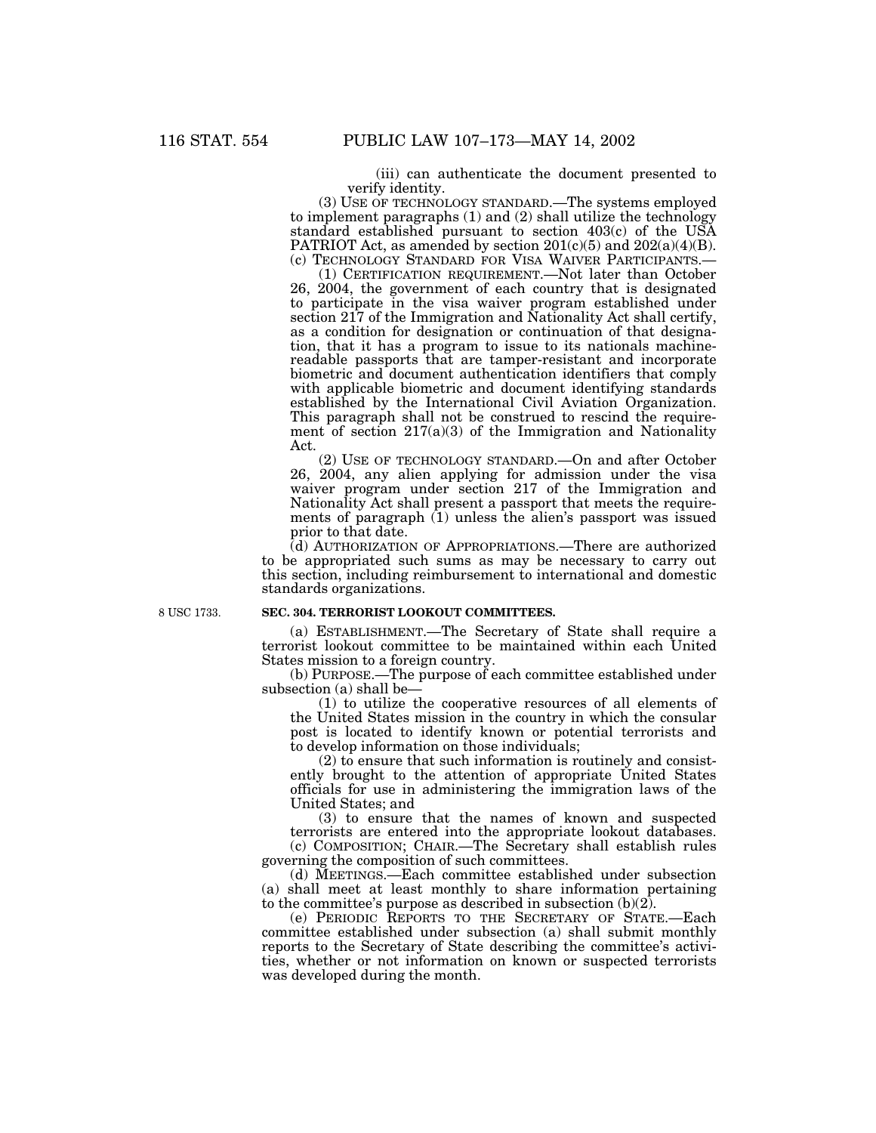(iii) can authenticate the document presented to verify identity.

(3) USE OF TECHNOLOGY STANDARD.—The systems employed to implement paragraphs (1) and (2) shall utilize the technology standard established pursuant to section 403(c) of the USA PATRIOT Act, as amended by section  $201(c)(5)$  and  $202(a)(4)(B)$ .<br>(c) TECHNOLOGY STANDARD FOR VISA WAIVER PARTICIPANTS.—

(1) CERTIFICATION REQUIREMENT.—Not later than October 26, 2004, the government of each country that is designated to participate in the visa waiver program established under section 217 of the Immigration and Nationality Act shall certify, as a condition for designation or continuation of that designation, that it has a program to issue to its nationals machinereadable passports that are tamper-resistant and incorporate biometric and document authentication identifiers that comply with applicable biometric and document identifying standards established by the International Civil Aviation Organization. This paragraph shall not be construed to rescind the requirement of section  $217(a)(3)$  of the Immigration and Nationality Act.

(2) USE OF TECHNOLOGY STANDARD.—On and after October 26, 2004, any alien applying for admission under the visa waiver program under section 217 of the Immigration and Nationality Act shall present a passport that meets the requirements of paragraph (1) unless the alien's passport was issued prior to that date.

(d) AUTHORIZATION OF APPROPRIATIONS.—There are authorized to be appropriated such sums as may be necessary to carry out this section, including reimbursement to international and domestic standards organizations.

8 USC 1733.

#### **SEC. 304. TERRORIST LOOKOUT COMMITTEES.**

(a) ESTABLISHMENT.—The Secretary of State shall require a terrorist lookout committee to be maintained within each United States mission to a foreign country.

(b) PURPOSE.—The purpose of each committee established under subsection (a) shall be—

(1) to utilize the cooperative resources of all elements of the United States mission in the country in which the consular post is located to identify known or potential terrorists and to develop information on those individuals;

(2) to ensure that such information is routinely and consistently brought to the attention of appropriate United States officials for use in administering the immigration laws of the United States; and

(3) to ensure that the names of known and suspected terrorists are entered into the appropriate lookout databases. (c) COMPOSITION; CHAIR.—The Secretary shall establish rules governing the composition of such committees.

(d) MEETINGS.—Each committee established under subsection (a) shall meet at least monthly to share information pertaining to the committee's purpose as described in subsection (b)(2).

(e) PERIODIC REPORTS TO THE SECRETARY OF STATE.—Each committee established under subsection (a) shall submit monthly reports to the Secretary of State describing the committee's activities, whether or not information on known or suspected terrorists was developed during the month.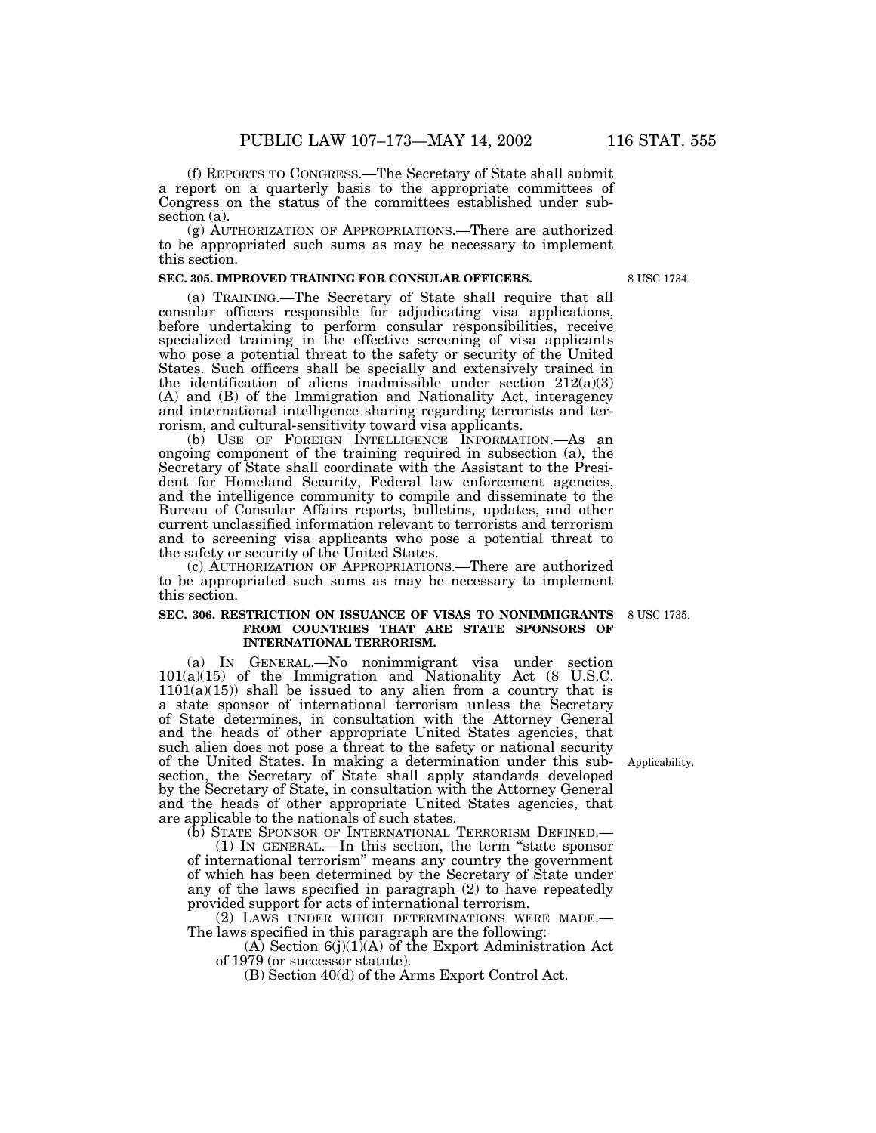(f) REPORTS TO CONGRESS.—The Secretary of State shall submit a report on a quarterly basis to the appropriate committees of Congress on the status of the committees established under subsection (a).

(g) AUTHORIZATION OF APPROPRIATIONS.—There are authorized to be appropriated such sums as may be necessary to implement this section.

#### **SEC. 305. IMPROVED TRAINING FOR CONSULAR OFFICERS.**

(a) TRAINING.—The Secretary of State shall require that all consular officers responsible for adjudicating visa applications, before undertaking to perform consular responsibilities, receive specialized training in the effective screening of visa applicants who pose a potential threat to the safety or security of the United States. Such officers shall be specially and extensively trained in the identification of aliens inadmissible under section  $212(a)(3)$ (A) and (B) of the Immigration and Nationality Act, interagency and international intelligence sharing regarding terrorists and terrorism, and cultural-sensitivity toward visa applicants.

(b) USE OF FOREIGN INTELLIGENCE INFORMATION.—As an ongoing component of the training required in subsection (a), the Secretary of State shall coordinate with the Assistant to the President for Homeland Security, Federal law enforcement agencies, and the intelligence community to compile and disseminate to the Bureau of Consular Affairs reports, bulletins, updates, and other current unclassified information relevant to terrorists and terrorism and to screening visa applicants who pose a potential threat to the safety or security of the United States.

(c) AUTHORIZATION OF APPROPRIATIONS.—There are authorized to be appropriated such sums as may be necessary to implement this section.

#### **SEC. 306. RESTRICTION ON ISSUANCE OF VISAS TO NONIMMIGRANTS** 8 USC 1735. **FROM COUNTRIES THAT ARE STATE SPONSORS OF INTERNATIONAL TERRORISM.**

(a) IN GENERAL.—No nonimmigrant visa under section 101(a)(15) of the Immigration and Nationality Act (8 U.S.C.  $1101(a)(15)$  shall be issued to any alien from a country that is a state sponsor of international terrorism unless the Secretary of State determines, in consultation with the Attorney General and the heads of other appropriate United States agencies, that such alien does not pose a threat to the safety or national security of the United States. In making a determination under this subsection, the Secretary of State shall apply standards developed by the Secretary of State, in consultation with the Attorney General and the heads of other appropriate United States agencies, that are applicable to the nationals of such states.<br>(b) STATE SPONSOR OF INTERNATIONAL TERRORISM DEFINED.—

 $(1)$  In GENERAL.—In this section, the term "state sponsor of international terrorism'' means any country the government of which has been determined by the Secretary of State under any of the laws specified in paragraph (2) to have repeatedly provided support for acts of international terrorism.

(2) LAWS UNDER WHICH DETERMINATIONS WERE MADE.— The laws specified in this paragraph are the following:

 $(A)$  Section  $6(j)(1)(A)$  of the Export Administration Act of 1979 (or successor statute).

(B) Section 40(d) of the Arms Export Control Act.

Applicability.

8 USC 1734.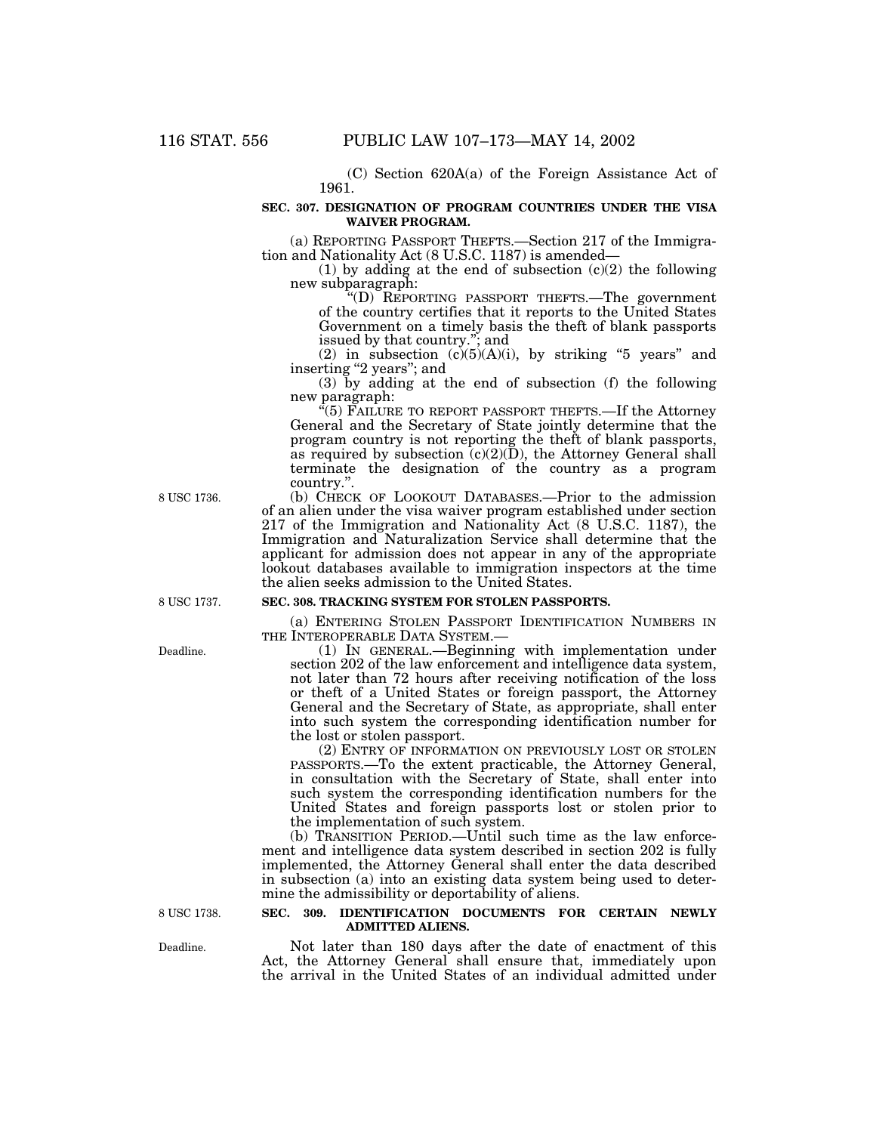(C) Section 620A(a) of the Foreign Assistance Act of 1961.

### **SEC. 307. DESIGNATION OF PROGRAM COUNTRIES UNDER THE VISA WAIVER PROGRAM.**

(a) REPORTING PASSPORT THEFTS.—Section 217 of the Immigration and Nationality Act (8 U.S.C. 1187) is amended—

(1) by adding at the end of subsection (c)(2) the following new subparagraph:

"(D) REPORTING PASSPORT THEFTS.—The government of the country certifies that it reports to the United States Government on a timely basis the theft of blank passports issued by that country.''; and

(2) in subsection  $(c)(5)(A)(i)$ , by striking "5 years" and inserting "2 years"; and

(3) by adding at the end of subsection (f) the following

 $\cdot$ (5) FAILURE TO REPORT PASSPORT THEFTS.—If the Attorney General and the Secretary of State jointly determine that the program country is not reporting the theft of blank passports, as required by subsection  $(c)(2)(\bar{D})$ , the Attorney General shall terminate the designation of the country as a program country.''.

(b) CHECK OF LOOKOUT DATABASES.—Prior to the admission of an alien under the visa waiver program established under section 217 of the Immigration and Nationality Act (8 U.S.C. 1187), the Immigration and Naturalization Service shall determine that the applicant for admission does not appear in any of the appropriate lookout databases available to immigration inspectors at the time the alien seeks admission to the United States.

## **SEC. 308. TRACKING SYSTEM FOR STOLEN PASSPORTS.**

(a) ENTERING STOLEN PASSPORT IDENTIFICATION NUMBERS IN THE INTEROPERABLE DATA SYSTEM.—

(1) IN GENERAL.—Beginning with implementation under section 202 of the law enforcement and intelligence data system, not later than 72 hours after receiving notification of the loss or theft of a United States or foreign passport, the Attorney General and the Secretary of State, as appropriate, shall enter into such system the corresponding identification number for the lost or stolen passport.

(2) ENTRY OF INFORMATION ON PREVIOUSLY LOST OR STOLEN PASSPORTS.—To the extent practicable, the Attorney General, in consultation with the Secretary of State, shall enter into such system the corresponding identification numbers for the United States and foreign passports lost or stolen prior to the implementation of such system.

(b) TRANSITION PERIOD.—Until such time as the law enforcement and intelligence data system described in section 202 is fully implemented, the Attorney General shall enter the data described in subsection (a) into an existing data system being used to determine the admissibility or deportability of aliens.

## **SEC. 309. IDENTIFICATION DOCUMENTS FOR CERTAIN NEWLY ADMITTED ALIENS.**

Not later than 180 days after the date of enactment of this Act, the Attorney General shall ensure that, immediately upon the arrival in the United States of an individual admitted under

8 USC 1736.

8 USC 1737.

Deadline.

8 USC 1738.

Deadline.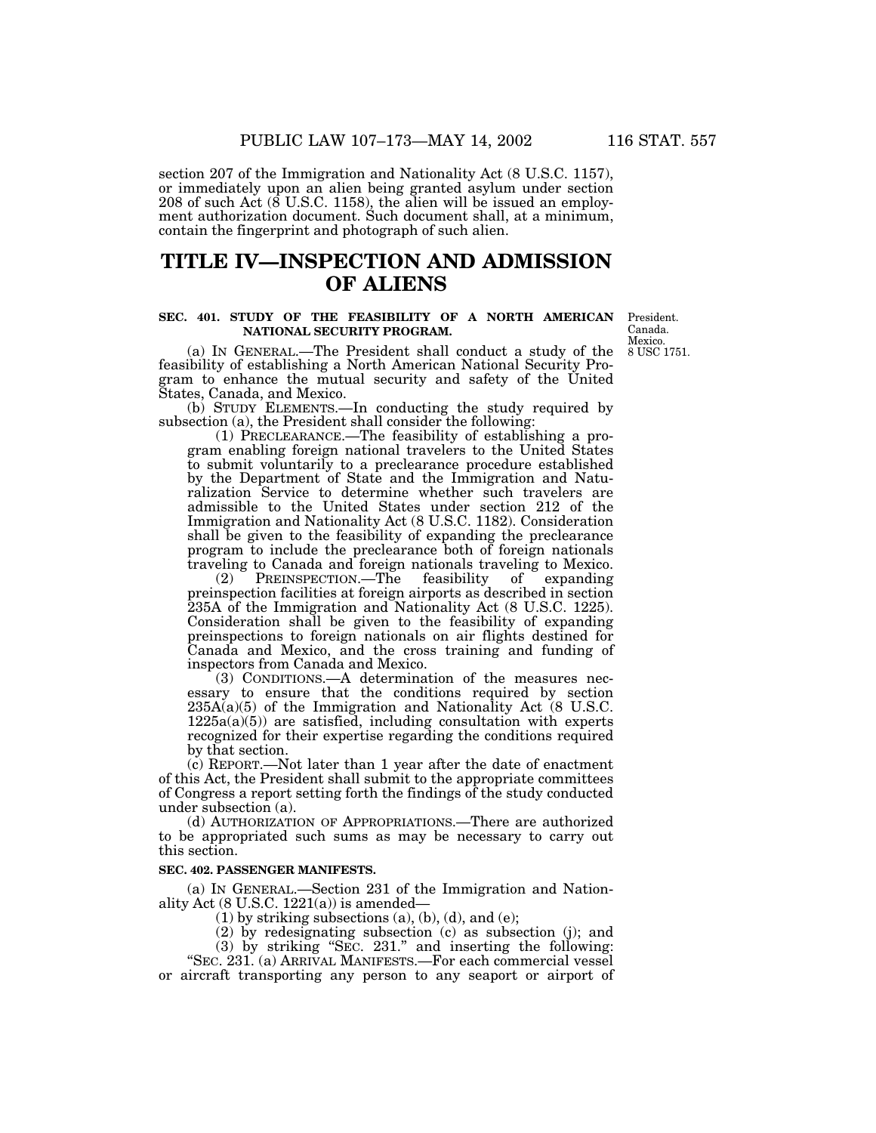section 207 of the Immigration and Nationality Act (8 U.S.C. 1157), or immediately upon an alien being granted asylum under section 208 of such Act (8 U.S.C. 1158), the alien will be issued an employment authorization document. Such document shall, at a minimum, contain the fingerprint and photograph of such alien.

# **TITLE IV—INSPECTION AND ADMISSION OF ALIENS**

## **SEC. 401. STUDY OF THE FEASIBILITY OF A NORTH AMERICAN NATIONAL SECURITY PROGRAM.**

(a) IN GENERAL.—The President shall conduct a study of the feasibility of establishing a North American National Security Program to enhance the mutual security and safety of the United States, Canada, and Mexico.

(b) STUDY ELEMENTS.—In conducting the study required by subsection (a), the President shall consider the following:

(1) PRECLEARANCE.—The feasibility of establishing a program enabling foreign national travelers to the United States to submit voluntarily to a preclearance procedure established by the Department of State and the Immigration and Naturalization Service to determine whether such travelers are admissible to the United States under section 212 of the Immigration and Nationality Act (8 U.S.C. 1182). Consideration shall be given to the feasibility of expanding the preclearance program to include the preclearance both of foreign nationals

traveling to Canada and foreign nationals traveling to Mexico. (2) PREINSPECTION.—The feasibility of expanding preinspection facilities at foreign airports as described in section 235A of the Immigration and Nationality Act (8 U.S.C. 1225). Consideration shall be given to the feasibility of expanding preinspections to foreign nationals on air flights destined for Canada and Mexico, and the cross training and funding of inspectors from Canada and Mexico.

(3) CONDITIONS.—A determination of the measures necessary to ensure that the conditions required by section  $235A(a)(5)$  of the Immigration and Nationality Act  $(8 \text{ U.S.C.})$  $1225a(a)(5)$  are satisfied, including consultation with experts recognized for their expertise regarding the conditions required by that section.

(c) REPORT.—Not later than 1 year after the date of enactment of this Act, the President shall submit to the appropriate committees of Congress a report setting forth the findings of the study conducted under subsection (a).

(d) AUTHORIZATION OF APPROPRIATIONS.—There are authorized to be appropriated such sums as may be necessary to carry out this section.

## **SEC. 402. PASSENGER MANIFESTS.**

(a) IN GENERAL.—Section 231 of the Immigration and Nationality Act (8 U.S.C. 1221(a)) is amended—

 $(1)$  by striking subsections  $(a)$ ,  $(b)$ ,  $(d)$ , and  $(e)$ ;

(2) by redesignating subsection (c) as subsection (j); and (3) by striking "SEC. 231." and inserting the following:

"SEC. 231. (a) ARRIVAL MANIFESTS.—For each commercial vessel or aircraft transporting any person to any seaport or airport of

President. Canada. Mexico. 8 USC 1751.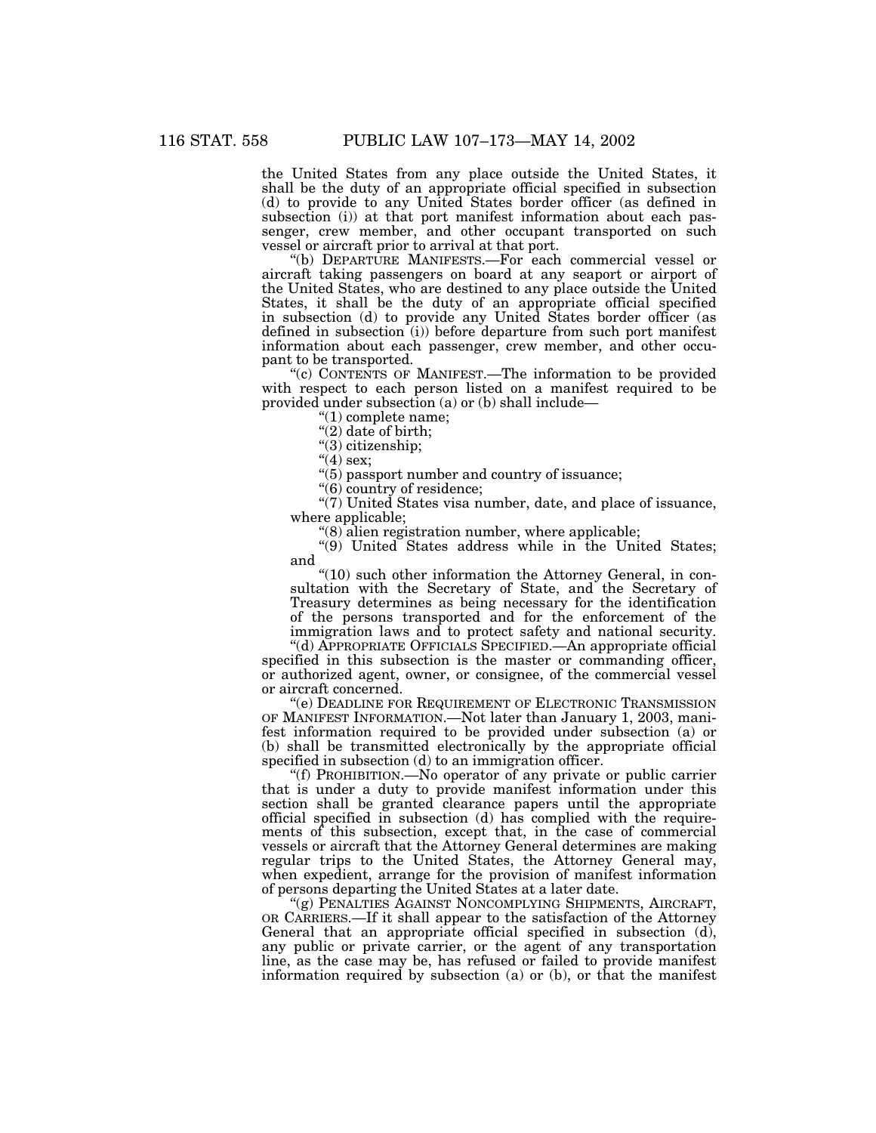the United States from any place outside the United States, it shall be the duty of an appropriate official specified in subsection (d) to provide to any United States border officer (as defined in subsection (i)) at that port manifest information about each passenger, crew member, and other occupant transported on such vessel or aircraft prior to arrival at that port.

''(b) DEPARTURE MANIFESTS.—For each commercial vessel or aircraft taking passengers on board at any seaport or airport of the United States, who are destined to any place outside the United States, it shall be the duty of an appropriate official specified in subsection (d) to provide any United States border officer (as defined in subsection (i)) before departure from such port manifest information about each passenger, crew member, and other occu-

"(c) CONTENTS OF MANIFEST.—The information to be provided with respect to each person listed on a manifest required to be provided under subsection (a) or (b) shall include— $''(1)$  complete name;

''(2) date of birth;

"(3) citizenship;

 $\widetilde{''(4)}$  sex;

''(5) passport number and country of issuance;

''(6) country of residence;

 $\sqrt{\gamma}$ ) United States visa number, date, and place of issuance, where applicable;

"(8) alien registration number, where applicable;

''(9) United States address while in the United States; and

''(10) such other information the Attorney General, in consultation with the Secretary of State, and the Secretary of Treasury determines as being necessary for the identification of the persons transported and for the enforcement of the immigration laws and to protect safety and national security.

''(d) APPROPRIATE OFFICIALS SPECIFIED.—An appropriate official specified in this subsection is the master or commanding officer, or authorized agent, owner, or consignee, of the commercial vessel or aircraft concerned.

'(e) DEADLINE FOR REQUIREMENT OF ELECTRONIC TRANSMISSION OF MANIFEST INFORMATION.—Not later than January 1, 2003, manifest information required to be provided under subsection (a) or (b) shall be transmitted electronically by the appropriate official specified in subsection (d) to an immigration officer.

''(f) PROHIBITION.—No operator of any private or public carrier that is under a duty to provide manifest information under this section shall be granted clearance papers until the appropriate official specified in subsection (d) has complied with the requirements of this subsection, except that, in the case of commercial vessels or aircraft that the Attorney General determines are making regular trips to the United States, the Attorney General may, when expedient, arrange for the provision of manifest information of persons departing the United States at a later date.

"(g) PENALTIES AGAINST NONCOMPLYING SHIPMENTS, AIRCRAFT, OR CARRIERS.—If it shall appear to the satisfaction of the Attorney General that an appropriate official specified in subsection (d), any public or private carrier, or the agent of any transportation line, as the case may be, has refused or failed to provide manifest information required by subsection (a) or (b), or that the manifest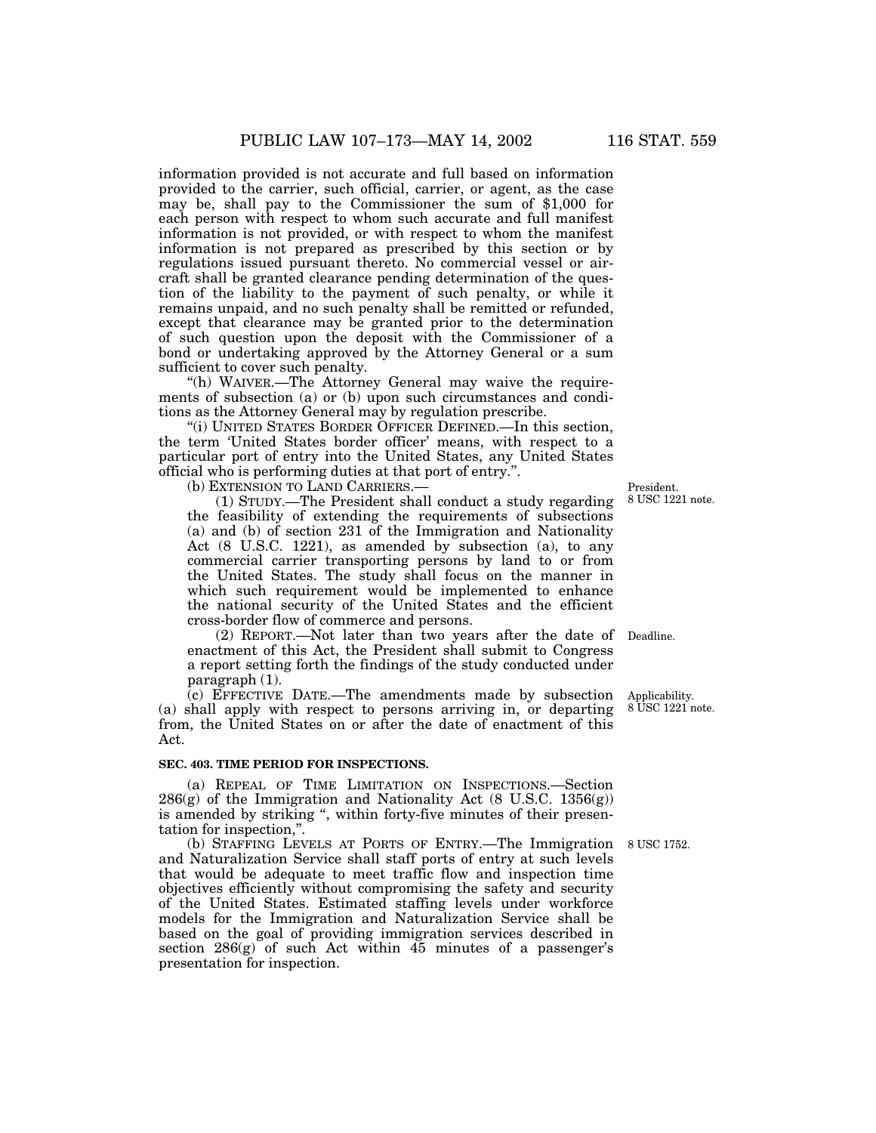information provided is not accurate and full based on information provided to the carrier, such official, carrier, or agent, as the case may be, shall pay to the Commissioner the sum of \$1,000 for each person with respect to whom such accurate and full manifest information is not provided, or with respect to whom the manifest information is not prepared as prescribed by this section or by regulations issued pursuant thereto. No commercial vessel or aircraft shall be granted clearance pending determination of the question of the liability to the payment of such penalty, or while it remains unpaid, and no such penalty shall be remitted or refunded, except that clearance may be granted prior to the determination of such question upon the deposit with the Commissioner of a bond or undertaking approved by the Attorney General or a sum sufficient to cover such penalty.

"(h) WAIVER.—The Attorney General may waive the requirements of subsection (a) or (b) upon such circumstances and conditions as the Attorney General may by regulation prescribe.

''(i) UNITED STATES BORDER OFFICER DEFINED.—In this section, the term 'United States border officer' means, with respect to a particular port of entry into the United States, any United States official who is performing duties at that port of entry.''.

(b) EXTENSION TO LAND CARRIERS.—

(1) STUDY.—The President shall conduct a study regarding the feasibility of extending the requirements of subsections (a) and (b) of section 231 of the Immigration and Nationality Act (8 U.S.C. 1221), as amended by subsection (a), to any commercial carrier transporting persons by land to or from the United States. The study shall focus on the manner in which such requirement would be implemented to enhance the national security of the United States and the efficient cross-border flow of commerce and persons.

(2) REPORT.—Not later than two years after the date of Deadline. enactment of this Act, the President shall submit to Congress a report setting forth the findings of the study conducted under paragraph (1).

(c) EFFECTIVE DATE.—The amendments made by subsection (a) shall apply with respect to persons arriving in, or departing from, the United States on or after the date of enactment of this Act.

#### **SEC. 403. TIME PERIOD FOR INSPECTIONS.**

(a) REPEAL OF TIME LIMITATION ON INSPECTIONS.—Section  $286(g)$  of the Immigration and Nationality Act (8 U.S.C. 1356 $(g)$ ) is amended by striking ", within forty-five minutes of their presentation for inspection,''.

(b) STAFFING LEVELS AT PORTS OF ENTRY.—The Immigration 8 USC 1752. and Naturalization Service shall staff ports of entry at such levels that would be adequate to meet traffic flow and inspection time objectives efficiently without compromising the safety and security of the United States. Estimated staffing levels under workforce models for the Immigration and Naturalization Service shall be based on the goal of providing immigration services described in section  $286(g)$  of such Act within 45 minutes of a passenger's presentation for inspection.

President. 8 USC 1221 note.

Applicability. 8 USC 1221 note.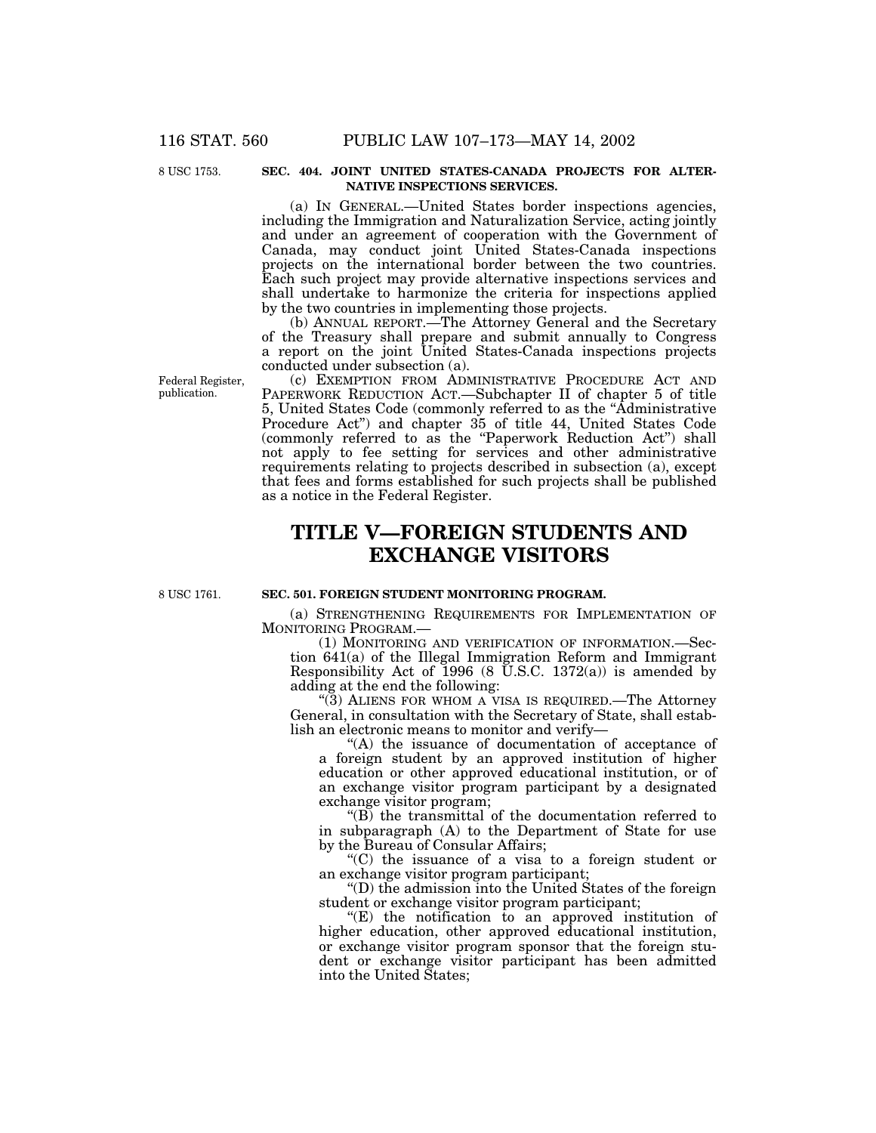8 USC 1753

### **SEC. 404. JOINT UNITED STATES-CANADA PROJECTS FOR ALTER-NATIVE INSPECTIONS SERVICES.**

(a) IN GENERAL.—United States border inspections agencies, including the Immigration and Naturalization Service, acting jointly and under an agreement of cooperation with the Government of Canada, may conduct joint United States-Canada inspections projects on the international border between the two countries. Each such project may provide alternative inspections services and shall undertake to harmonize the criteria for inspections applied by the two countries in implementing those projects.

(b) ANNUAL REPORT.—The Attorney General and the Secretary of the Treasury shall prepare and submit annually to Congress a report on the joint United States-Canada inspections projects conducted under subsection (a).

Federal Register, publication.

(c) EXEMPTION FROM ADMINISTRATIVE PROCEDURE ACT AND PAPERWORK REDUCTION ACT.—Subchapter II of chapter 5 of title 5, United States Code (commonly referred to as the ''Administrative Procedure Act'') and chapter 35 of title 44, United States Code (commonly referred to as the "Paperwork Reduction Act") shall not apply to fee setting for services and other administrative requirements relating to projects described in subsection (a), except that fees and forms established for such projects shall be published as a notice in the Federal Register.

# **TITLE V—FOREIGN STUDENTS AND EXCHANGE VISITORS**

8 USC 1761.

## **SEC. 501. FOREIGN STUDENT MONITORING PROGRAM.**

(a) STRENGTHENING REQUIREMENTS FOR IMPLEMENTATION OF MONITORING PROGRAM.—

(1) MONITORING AND VERIFICATION OF INFORMATION.—Section 641(a) of the Illegal Immigration Reform and Immigrant Responsibility Act of 1996 (8 U.S.C. 1372(a)) is amended by adding at the end the following:

''(3) ALIENS FOR WHOM A VISA IS REQUIRED.—The Attorney General, in consultation with the Secretary of State, shall establish an electronic means to monitor and verify—

''(A) the issuance of documentation of acceptance of a foreign student by an approved institution of higher education or other approved educational institution, or of an exchange visitor program participant by a designated exchange visitor program;

 $\mathrm{``(B)}$  the transmittal of the documentation referred to in subparagraph (A) to the Department of State for use by the Bureau of Consular Affairs;

 $(C)$  the issuance of a visa to a foreign student or an exchange visitor program participant;

''(D) the admission into the United States of the foreign student or exchange visitor program participant;

 $f(E)$  the notification to an approved institution of higher education, other approved educational institution, or exchange visitor program sponsor that the foreign student or exchange visitor participant has been admitted into the United States;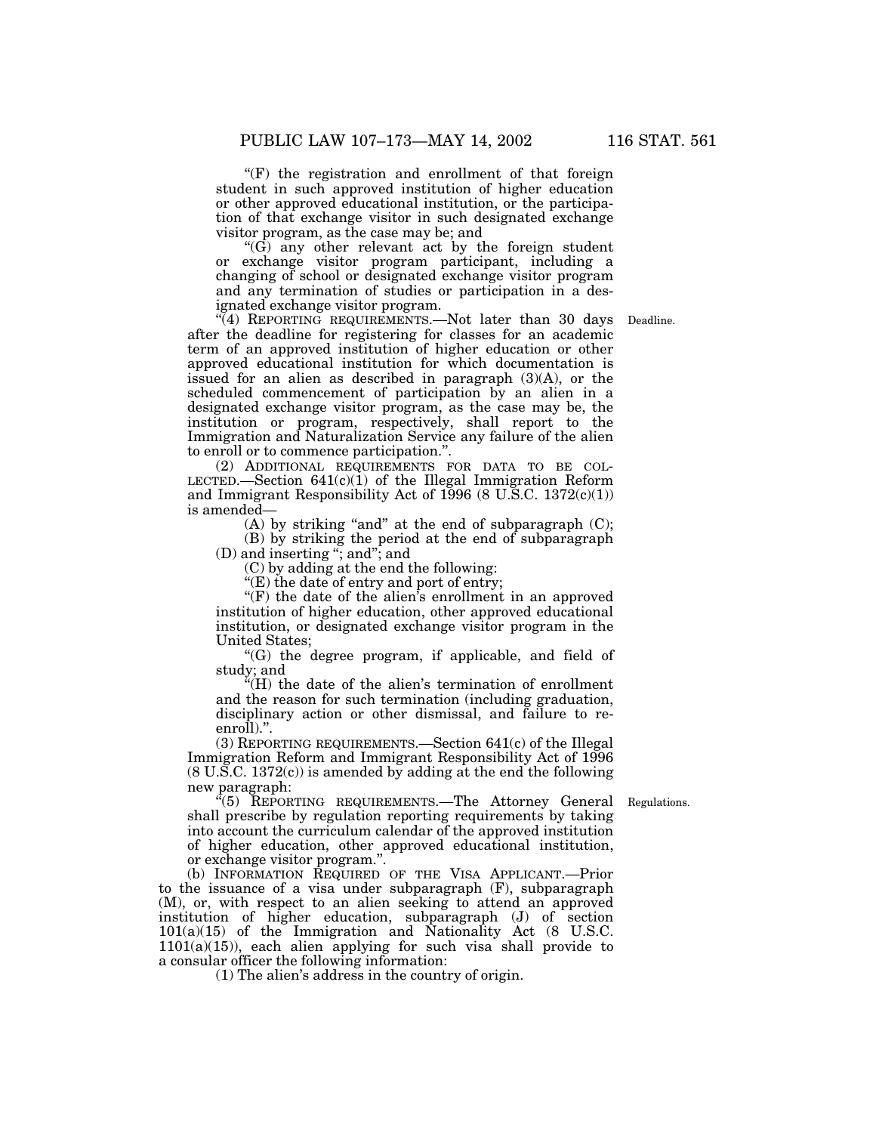$f(F)$  the registration and enrollment of that foreign student in such approved institution of higher education or other approved educational institution, or the participation of that exchange visitor in such designated exchange visitor program, as the case may be; and

 $(G)$  any other relevant act by the foreign student or exchange visitor program participant, including a changing of school or designated exchange visitor program and any termination of studies or participation in a designated exchange visitor program.

"(4) REPORTING REQUIREMENTS.—Not later than 30 days Deadline. after the deadline for registering for classes for an academic term of an approved institution of higher education or other approved educational institution for which documentation is issued for an alien as described in paragraph (3)(A), or the scheduled commencement of participation by an alien in a designated exchange visitor program, as the case may be, the institution or program, respectively, shall report to the Immigration and Naturalization Service any failure of the alien to enroll or to commence participation.''.

(2) ADDITIONAL REQUIREMENTS FOR DATA TO BE COL-LECTED.—Section  $641(c)(1)$  of the Illegal Immigration Reform and Immigrant Responsibility Act of  $1996$  (8 U.S.C.  $1372(c)(1)$ ) is amended—

(A) by striking "and" at the end of subparagraph  $(C)$ ;

(B) by striking the period at the end of subparagraph (D) and inserting ''; and''; and

(C) by adding at the end the following:

 $E(E)$  the date of entry and port of entry;

" $(F)$  the date of the alien's enrollment in an approved institution of higher education, other approved educational institution, or designated exchange visitor program in the United States;

''(G) the degree program, if applicable, and field of study; and

 $*(H)$  the date of the alien's termination of enrollment and the reason for such termination (including graduation, disciplinary action or other dismissal, and failure to reenroll).''.

(3) REPORTING REQUIREMENTS.—Section 641(c) of the Illegal Immigration Reform and Immigrant Responsibility Act of 1996  $(8 \text{ U.S.C. } 1372(c))$  is amended by adding at the end the following new paragraph:

Regulations.

<sup>7</sup>(5) REPORTING REQUIREMENTS.—The Attorney General shall prescribe by regulation reporting requirements by taking into account the curriculum calendar of the approved institution of higher education, other approved educational institution, or exchange visitor program.''.

(b) INFORMATION REQUIRED OF THE VISA APPLICANT.—Prior to the issuance of a visa under subparagraph (F), subparagraph (M), or, with respect to an alien seeking to attend an approved institution of higher education, subparagraph (J) of section 101(a)(15) of the Immigration and Nationality Act (8 U.S.C.  $1101(a)(15)$ , each alien applying for such visa shall provide to a consular officer the following information:

(1) The alien's address in the country of origin.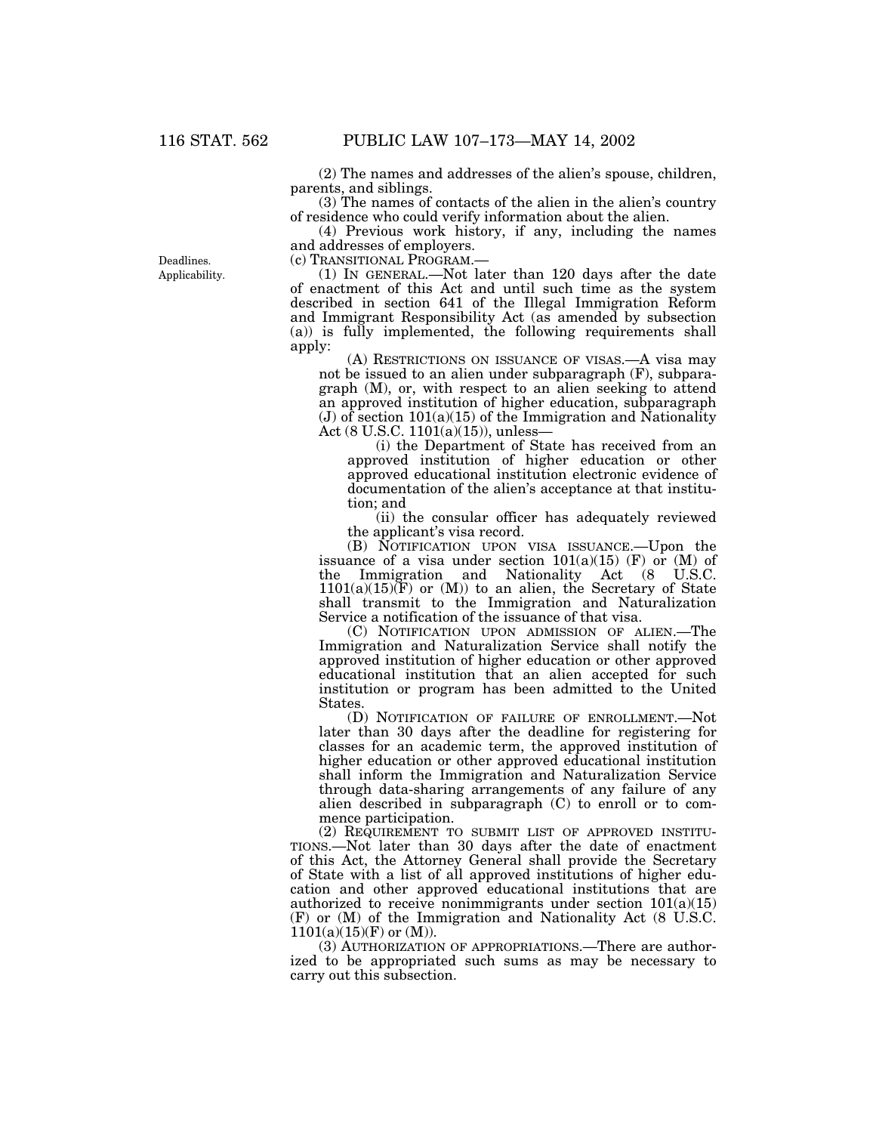(2) The names and addresses of the alien's spouse, children, parents, and siblings.

(3) The names of contacts of the alien in the alien's country of residence who could verify information about the alien.

(4) Previous work history, if any, including the names and addresses of employers.<br>(c) TRANSITIONAL PROGRAM.

(1) IN GENERAL.—Not later than  $120$  days after the date of enactment of this Act and until such time as the system described in section 641 of the Illegal Immigration Reform and Immigrant Responsibility Act (as amended by subsection (a)) is fully implemented, the following requirements shall apply:

(A) RESTRICTIONS ON ISSUANCE OF VISAS.—A visa may not be issued to an alien under subparagraph (F), subparagraph (M), or, with respect to an alien seeking to attend an approved institution of higher education, subparagraph (J) of section 101(a)(15) of the Immigration and Nationality Act (8 U.S.C. 1101(a)(15)), unless— Act (8 U.S.C. 1101(a)(15)), unless—<br>(i) the Department of State has received from an

approved institution of higher education or other approved educational institution electronic evidence of documentation of the alien's acceptance at that institution; and

(ii) the consular officer has adequately reviewed the applicant's visa record.

(B) NOTIFICATION UPON VISA ISSUANCE.—Upon the issuance of a visa under section  $101(a)(15)$  (F) or (M) of the Immigration and Nationality Act (8 U.S.C. the Immigration and Nationality  $1101(a)(15)(F)$  or  $(M)$ ) to an alien, the Secretary of State shall transmit to the Immigration and Naturalization Service a notification of the issuance of that visa.

(C) NOTIFICATION UPON ADMISSION OF ALIEN.—The Immigration and Naturalization Service shall notify the approved institution of higher education or other approved educational institution that an alien accepted for such institution or program has been admitted to the United States.

(D) NOTIFICATION OF FAILURE OF ENROLLMENT.—Not later than 30 days after the deadline for registering for classes for an academic term, the approved institution of higher education or other approved educational institution shall inform the Immigration and Naturalization Service through data-sharing arrangements of any failure of any alien described in subparagraph (C) to enroll or to commence participation.

(2) REQUIREMENT TO SUBMIT LIST OF APPROVED INSTITU-TIONS.—Not later than 30 days after the date of enactment of this Act, the Attorney General shall provide the Secretary of State with a list of all approved institutions of higher education and other approved educational institutions that are authorized to receive nonimmigrants under section 101(a)(15) (F) or (M) of the Immigration and Nationality Act (8 U.S.C.  $1101(a)(15)(F)$  or  $(M)$ ).

(3) AUTHORIZATION OF APPROPRIATIONS.—There are authorized to be appropriated such sums as may be necessary to carry out this subsection.

Applicability. Deadlines.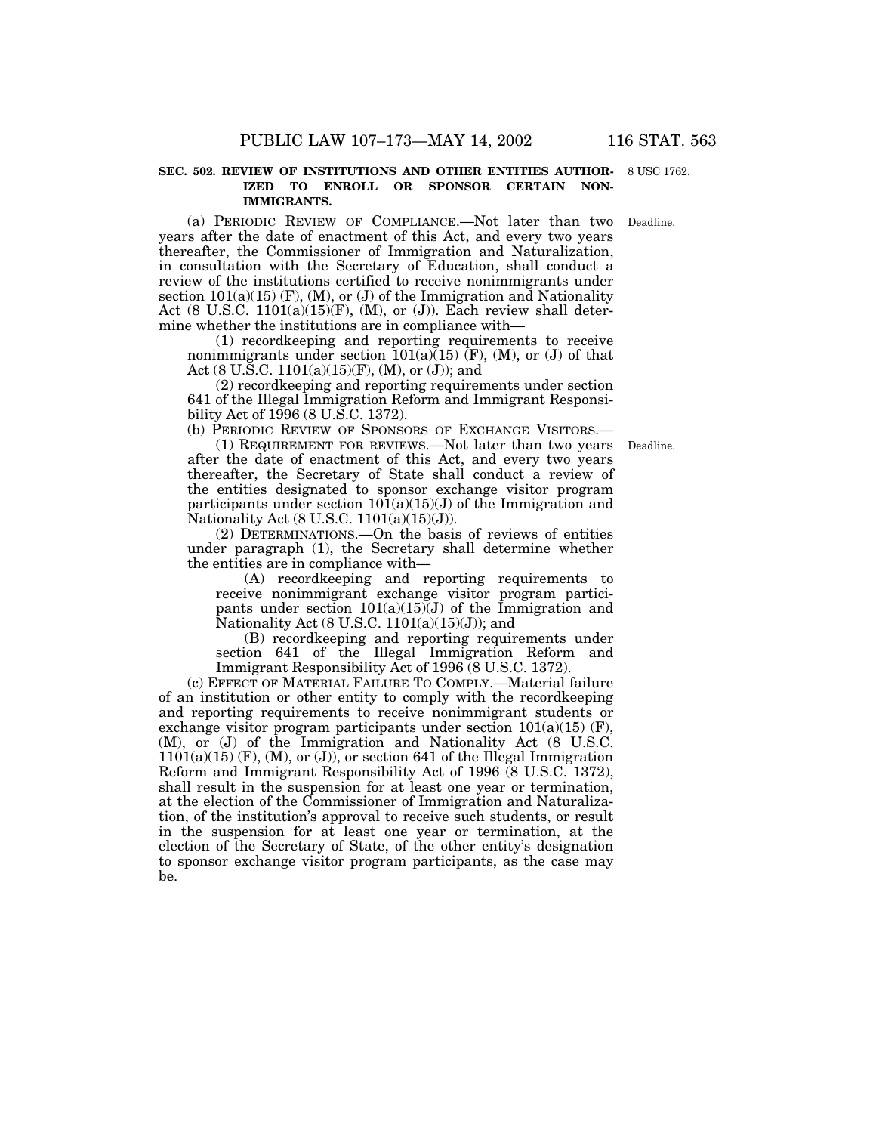## **SEC. 502. REVIEW OF INSTITUTIONS AND OTHER ENTITIES AUTHOR-**8 USC 1762. **IZED TO ENROLL OR SPONSOR CERTAIN NON-IMMIGRANTS.**

(a) PERIODIC REVIEW OF COMPLIANCE.—Not later than two years after the date of enactment of this Act, and every two years thereafter, the Commissioner of Immigration and Naturalization, in consultation with the Secretary of Education, shall conduct a review of the institutions certified to receive nonimmigrants under section  $101(a)(15)$  (F), (M), or (J) of the Immigration and Nationality Act  $(8 \text{ U.S.C. } 1101(a)(15)(\text{F}), (\text{M}), \text{or } (\text{J}))$ . Each review shall determine whether the institutions are in compliance with—

(1) recordkeeping and reporting requirements to receive nonimmigrants under section  $101(a)$  $(15)$   $(F)$ ,  $(M)$ , or  $(J)$  of that Act (8 U.S.C. 1101(a)(15)(F), (M), or (J)); and

(2) recordkeeping and reporting requirements under section 641 of the Illegal Immigration Reform and Immigrant Responsibility Act of 1996 (8 U.S.C. 1372).

(b) PERIODIC REVIEW OF SPONSORS OF EXCHANGE VISITORS.—

(1) REQUIREMENT FOR REVIEWS.—Not later than two years Deadline. after the date of enactment of this Act, and every two years thereafter, the Secretary of State shall conduct a review of the entities designated to sponsor exchange visitor program participants under section 101(a)(15)(J) of the Immigration and Nationality Act (8 U.S.C. 1101(a)(15)(J)).

(2) DETERMINATIONS.—On the basis of reviews of entities under paragraph (1), the Secretary shall determine whether the entities are in compliance with—

(A) recordkeeping and reporting requirements to receive nonimmigrant exchange visitor program participants under section  $101(a)(15)$  of the Immigration and Nationality Act  $(8 \text{ U.S.C. } 1101(a)(15)(J))$ ; and

(B) recordkeeping and reporting requirements under section 641 of the Illegal Immigration Reform and Immigrant Responsibility Act of 1996 (8 U.S.C. 1372).

(c) EFFECT OF MATERIAL FAILURE TO COMPLY.—Material failure of an institution or other entity to comply with the recordkeeping and reporting requirements to receive nonimmigrant students or exchange visitor program participants under section  $101(a)(15)$  (F), (M), or (J) of the Immigration and Nationality Act (8 U.S.C.  $1101(a)(15)$  (F), (M), or (J)), or section 641 of the Illegal Immigration Reform and Immigrant Responsibility Act of 1996 (8 U.S.C. 1372), shall result in the suspension for at least one year or termination, at the election of the Commissioner of Immigration and Naturalization, of the institution's approval to receive such students, or result in the suspension for at least one year or termination, at the election of the Secretary of State, of the other entity's designation to sponsor exchange visitor program participants, as the case may be.

Deadline.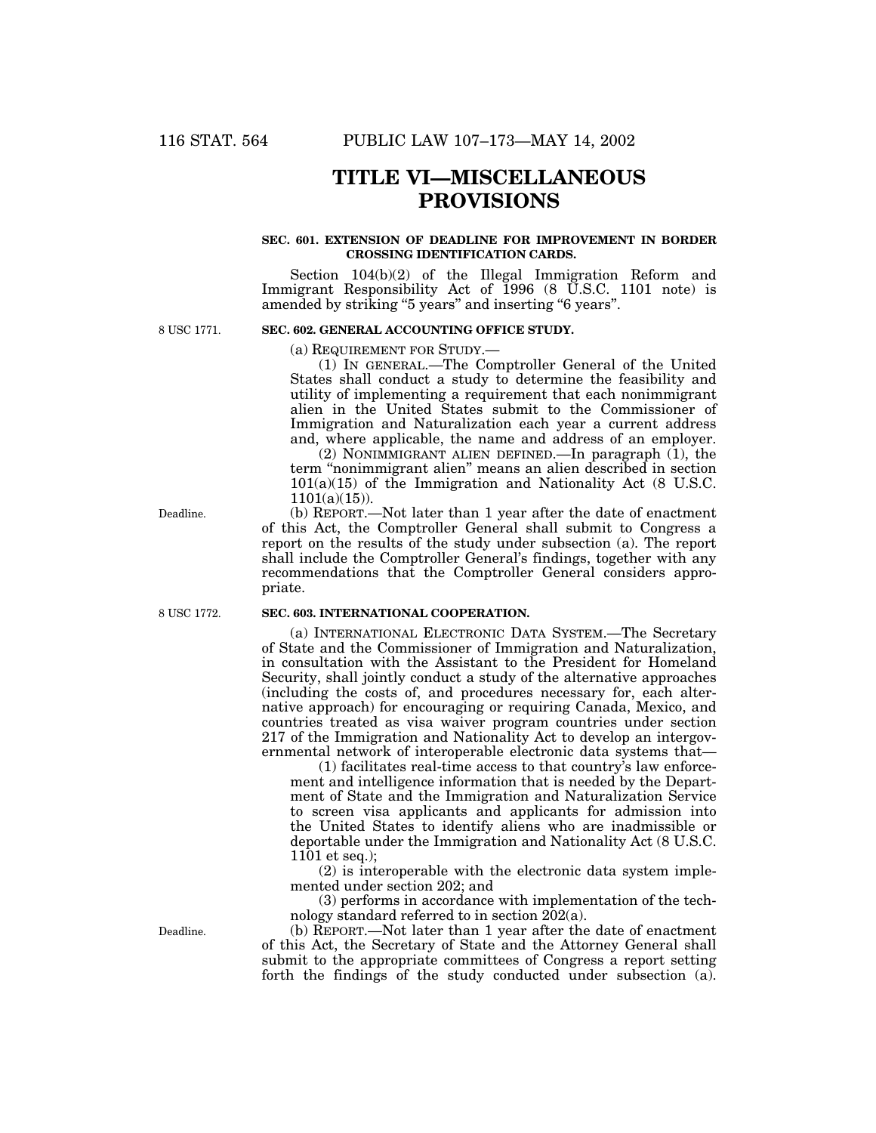# **TITLE VI—MISCELLANEOUS PROVISIONS**

## **SEC. 601. EXTENSION OF DEADLINE FOR IMPROVEMENT IN BORDER CROSSING IDENTIFICATION CARDS.**

Section 104(b)(2) of the Illegal Immigration Reform and Immigrant Responsibility Act of 1996 (8 U.S.C. 1101 note) is amended by striking ''5 years'' and inserting ''6 years''.

8 USC 1771.

## **SEC. 602. GENERAL ACCOUNTING OFFICE STUDY.**

(a) REQUIREMENT FOR STUDY.—

(1) IN GENERAL.—The Comptroller General of the United States shall conduct a study to determine the feasibility and utility of implementing a requirement that each nonimmigrant alien in the United States submit to the Commissioner of Immigration and Naturalization each year a current address and, where applicable, the name and address of an employer.

(2) NONIMMIGRANT ALIEN DEFINED.—In paragraph (1), the term ''nonimmigrant alien'' means an alien described in section 101(a)(15) of the Immigration and Nationality Act (8 U.S.C.  $1101(a)(15)$ .

(b) REPORT.—Not later than 1 year after the date of enactment of this Act, the Comptroller General shall submit to Congress a report on the results of the study under subsection (a). The report shall include the Comptroller General's findings, together with any recommendations that the Comptroller General considers appropriate.

## **SEC. 603. INTERNATIONAL COOPERATION.**

(a) INTERNATIONAL ELECTRONIC DATA SYSTEM.—The Secretary of State and the Commissioner of Immigration and Naturalization, in consultation with the Assistant to the President for Homeland Security, shall jointly conduct a study of the alternative approaches (including the costs of, and procedures necessary for, each alternative approach) for encouraging or requiring Canada, Mexico, and countries treated as visa waiver program countries under section 217 of the Immigration and Nationality Act to develop an intergovernmental network of interoperable electronic data systems that—

(1) facilitates real-time access to that country's law enforcement and intelligence information that is needed by the Department of State and the Immigration and Naturalization Service to screen visa applicants and applicants for admission into the United States to identify aliens who are inadmissible or deportable under the Immigration and Nationality Act (8 U.S.C. 1101 et seq.);

(2) is interoperable with the electronic data system implemented under section 202; and

(3) performs in accordance with implementation of the technology standard referred to in section 202(a).

(b) REPORT.—Not later than 1 year after the date of enactment of this Act, the Secretary of State and the Attorney General shall submit to the appropriate committees of Congress a report setting forth the findings of the study conducted under subsection (a).

Deadline.

8 USC 1772.

Deadline.